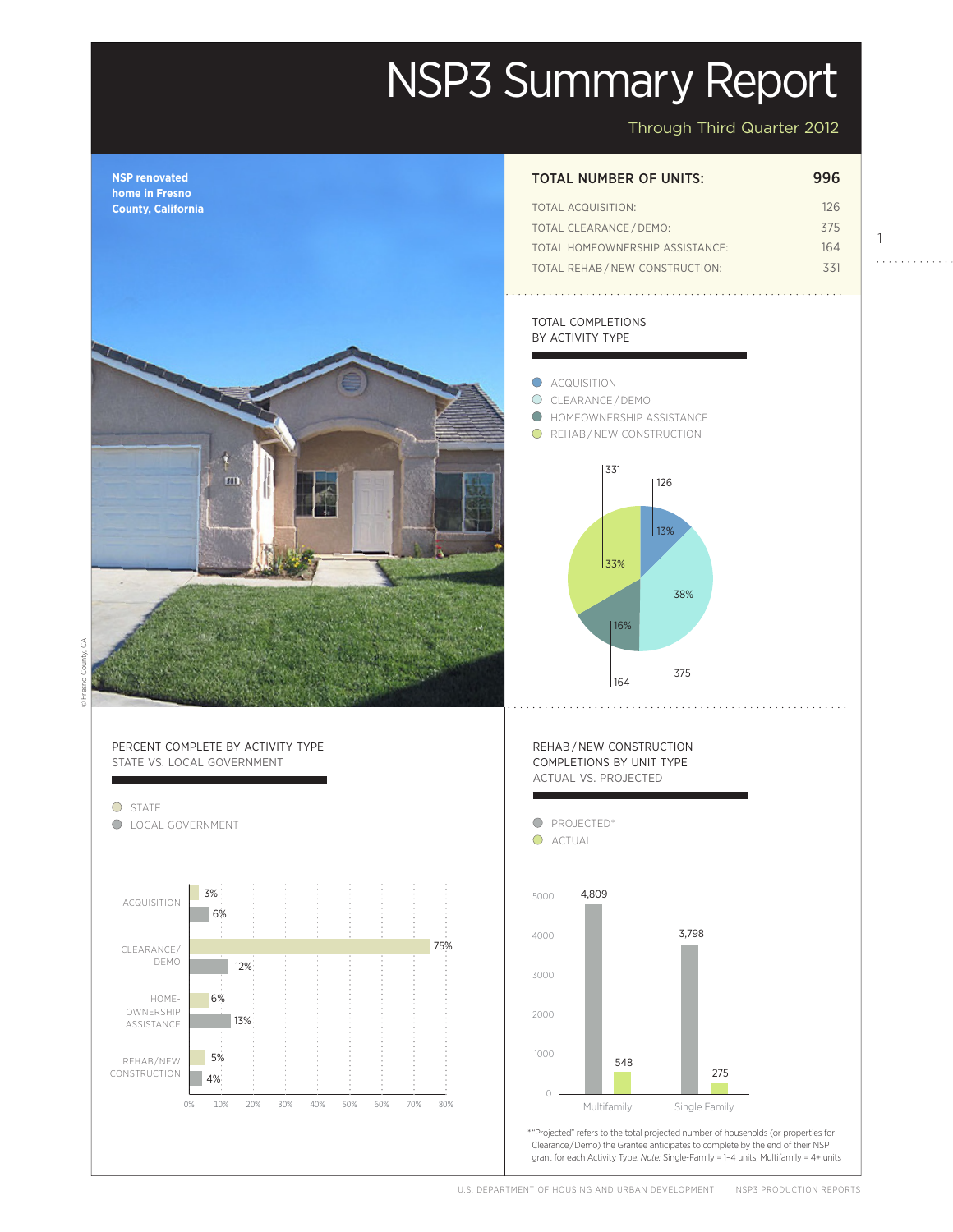# NSP3 Summary Report

Through Third Quarter 2012

1

 $1.1.1.1.1.1.1.1$ 



U.S. DEPARTMENT OF HOUSING AND URBAN DEVELOPMENT | NSP3 PRODUCTION REPORTS

Actual

projected and the set of the set of the set of the set of the set of the set of the set of the set of the set o<br>Property set of the set of the set of the set of the set of the set of the set of the set of the set of the se

Projected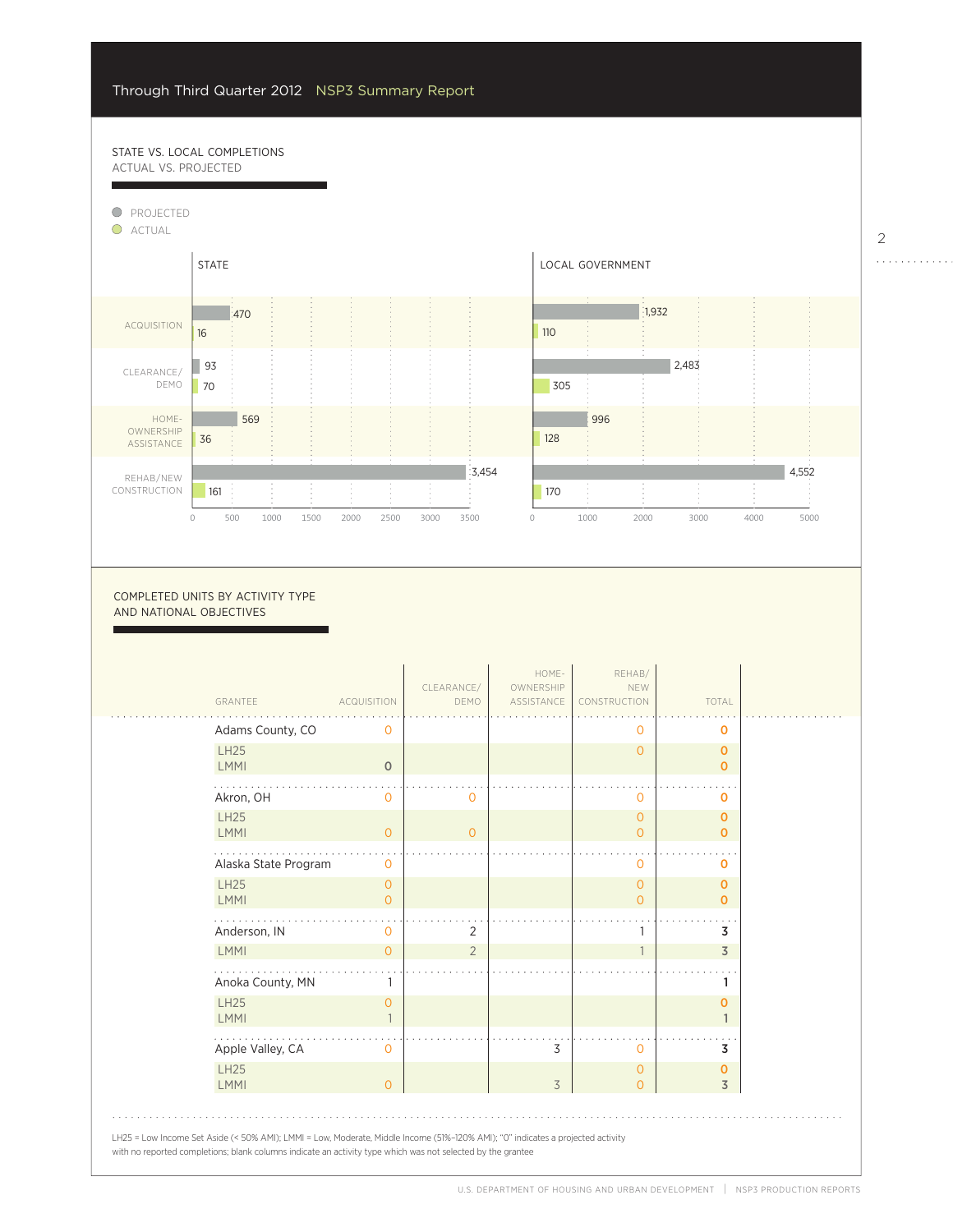# STATE VS. LOCAL COMPLETIONS ACTUAL VS. PROJECTED

F

 $\overline{a}$ 

4%



0

2000

COMPLETED UNITS BY ACTIVITY TYPE AND NATIONAL OBJECTIVES

| GRANTEE                    | <b>ACQUISITION</b>  | CLEARANCE/<br>DEMO | HOME-<br>OWNERSHIP<br>ASSISTANCE | REHAB/<br>NEW<br>CONSTRUCTION    | TOTAL                       |
|----------------------------|---------------------|--------------------|----------------------------------|----------------------------------|-----------------------------|
| Adams County, CO           | O                   |                    |                                  | 0                                | O                           |
| <b>LH25</b><br><b>LMMI</b> | $\circ$             |                    |                                  | $\overline{0}$                   | $\mathbf 0$<br>$\mathbf 0$  |
| Akron, OH                  | $\overline{0}$      | $\overline{0}$     |                                  | $\mathbf 0$                      | 0                           |
| <b>LH25</b><br><b>LMMI</b> | $\circ$             | $\overline{0}$     |                                  | $\overline{O}$<br>$\overline{0}$ | $\mathbf 0$<br>$\mathbf 0$  |
| Alaska State Program       | $\mathbf{O}$        |                    |                                  | 0                                | O                           |
| <b>LH25</b><br>LMMI        | $\circ$<br>$\Omega$ |                    |                                  | $\overline{O}$<br>$\overline{0}$ | $\mathbf 0$<br>$\mathbf{O}$ |
| Anderson, IN               | 0                   | 2                  |                                  | 1                                | 3                           |
| <b>LMMI</b>                | $\Omega$            | $\overline{2}$     |                                  | $\mathbf{1}$                     | $\overline{3}$              |
| Anoka County, MN           |                     |                    |                                  |                                  | 1                           |
| <b>LH25</b><br><b>LMMI</b> | $\circ$             |                    |                                  |                                  | $\mathbf 0$<br>$\mathbf{1}$ |
| Apple Valley, CA           | $\Omega$            |                    | 3                                | $\mathbf 0$                      | 3                           |
| <b>LH25</b><br><b>LMMI</b> | $\Omega$            |                    | 3                                | $\mathbf 0$<br>$\overline{0}$    | O<br>$\overline{3}$         |

2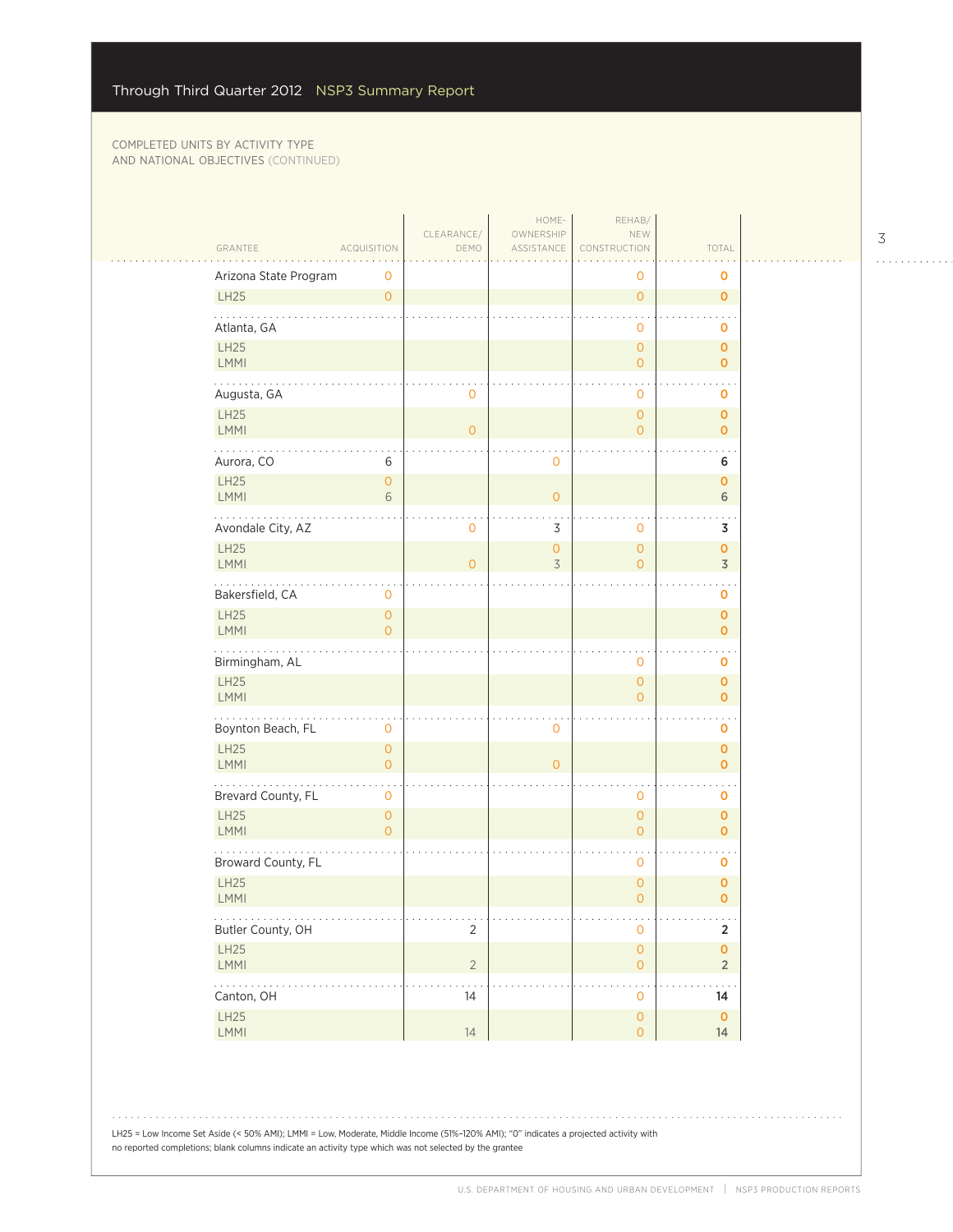|                            |                                       | CLEARANCE/     | HOME-<br>OWNERSHIP  | REHAB/<br>NEW                              |                                      |  |
|----------------------------|---------------------------------------|----------------|---------------------|--------------------------------------------|--------------------------------------|--|
| GRANTEE                    | <b>ACQUISITION</b>                    | DEMO           | ASSISTANCE          | CONSTRUCTION                               | TOTAL                                |  |
| Arizona State Program      | 0                                     |                |                     | 0                                          | 0                                    |  |
| LH25                       | $\circ$                               |                |                     | $\mathsf{O}\xspace$                        | $\mathbf 0$                          |  |
| Atlanta, GA                |                                       |                |                     | $\mathbf 0$                                | o                                    |  |
| LH25<br>LMMI               |                                       |                |                     | $\mathsf{O}\xspace$<br>$\overline{O}$      | $\mathbf{O}$<br>0                    |  |
| Augusta, GA                |                                       | 0              |                     | $\mathbf 0$                                | $\mathbf 0$                          |  |
| LH25<br><b>LMMI</b>        |                                       | $\overline{0}$ |                     | $\mathsf{O}\xspace$<br>$\overline{O}$      | $\mathbf 0$<br>$\mathbf{o}$          |  |
| .                          |                                       |                |                     |                                            |                                      |  |
| Aurora, CO                 | 6                                     |                | $\mathbf 0$         |                                            | 6                                    |  |
| LH25<br><b>LMMI</b>        | $\mathsf{O}\xspace$<br>6              |                | $\overline{0}$      |                                            | $\pmb{\mathsf{O}}$<br>6              |  |
| Avondale City, AZ          |                                       | 0              | 3                   | $\mathbf 0$                                | 3                                    |  |
| LH25<br>LMMI               |                                       | $\overline{0}$ | $\overline{O}$<br>3 | $\mathsf{O}\xspace$<br>$\circ$             | $\pmb{0}$<br>$\overline{3}$          |  |
| .<br>Bakersfield, CA       | 0                                     |                |                     |                                            | 0                                    |  |
| <b>LH25</b><br><b>LMMI</b> | $\overline{0}$<br>$\overline{O}$      |                |                     |                                            | $\mathbf{o}$<br>$\mathbf{O}$         |  |
| Birmingham, AL             |                                       |                |                     | $\mathbf 0$                                | o                                    |  |
| LH25<br><b>LMMI</b>        |                                       |                |                     | $\overline{O}$<br>$\overline{0}$           | 0<br>$\mathbf{o}$                    |  |
| Boynton Beach, FL          | 0                                     |                | $\mathbf 0$         |                                            | 0                                    |  |
| LH25<br>LMMI               | $\mathsf{O}\xspace$<br>$\overline{0}$ |                | $\overline{0}$      |                                            | $\mathbf 0$<br>$\mathbf 0$           |  |
| Brevard County, FL         | 0                                     |                |                     | $\mathbf 0$                                | $\mathbf 0$                          |  |
| LH25<br><b>LMMI</b>        | $\overline{0}$<br>$\overline{0}$      |                |                     | $\mathsf{O}\xspace$<br>$\circ$             | $\mathbf 0$<br>$\mathbf 0$           |  |
| Broward County, FL         |                                       |                |                     | $\mathbf 0$                                | o                                    |  |
| LH25<br><b>LMMI</b>        |                                       |                |                     | $\mathsf{O}\xspace$<br>$\overline{0}$      | 0<br>$\mathbf 0$                     |  |
| .<br>Butler County, OH     |                                       | $\overline{2}$ |                     | $\mathsf{O}\xspace$                        | .<br>$\overline{2}$                  |  |
| LH25<br>LMMI               |                                       | $\overline{2}$ |                     | $\mathsf{O}\xspace$<br>$\mathsf{O}\xspace$ | $\pmb{\mathsf{O}}$<br>$\overline{2}$ |  |
| .<br>Canton, OH            |                                       | 14             |                     | $\mathsf{O}\xspace$                        | 14                                   |  |
| LH25<br>LMMI               |                                       | 14             |                     | $\mathsf{O}\xspace$<br>$\overline{O}$      | $\mathbf 0$<br>14                    |  |
|                            |                                       |                |                     |                                            |                                      |  |

3 . . . . . . . . . . . .

LH25 = Low Income Set Aside (< 50% AMI); LMMI = Low, Moderate, Middle Income (51%–120% AMI); "0" indicates a projected activity with no reported completions; blank columns indicate an activity type which was not selected by the grantee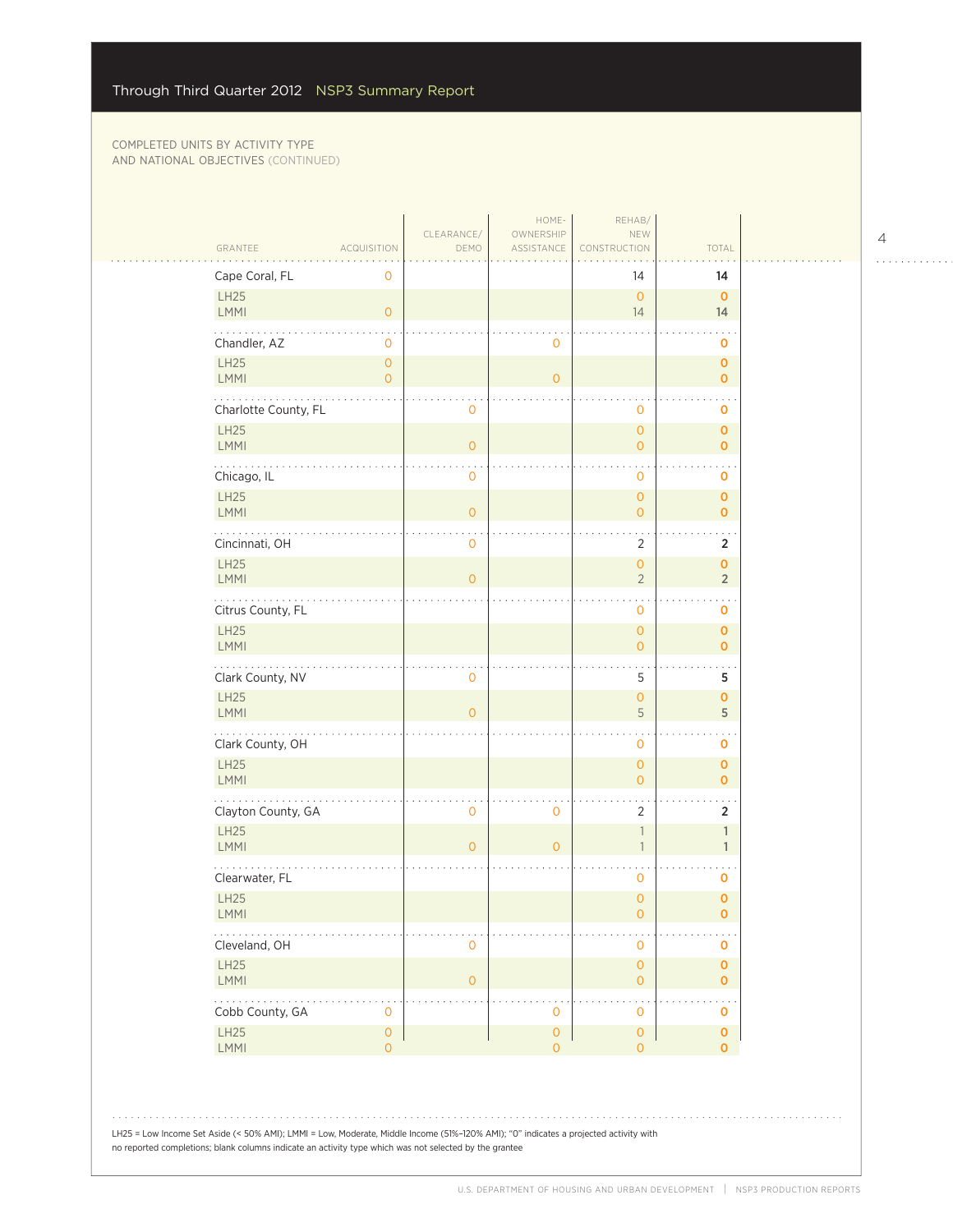|  | GRANTEE                                                                                                                                                                                                                                        | <b>ACQUISITION</b>                    | CLEARANCE/<br>DEMO  | HOME-<br>OWNERSHIP<br>ASSISTANCE | REHAB/<br>NEW<br>CONSTRUCTION         | TOTAL                          |  |
|--|------------------------------------------------------------------------------------------------------------------------------------------------------------------------------------------------------------------------------------------------|---------------------------------------|---------------------|----------------------------------|---------------------------------------|--------------------------------|--|
|  | Cape Coral, FL                                                                                                                                                                                                                                 | 0                                     |                     |                                  | 14                                    | 14                             |  |
|  | LH25<br><b>LMMI</b>                                                                                                                                                                                                                            | $\overline{O}$                        |                     |                                  | $\overline{0}$<br>14                  | $\mathbf{O}$<br>14             |  |
|  | Chandler, AZ                                                                                                                                                                                                                                   | 0                                     |                     | 0                                |                                       | 0                              |  |
|  | LH25<br><b>LMMI</b>                                                                                                                                                                                                                            | $\overline{O}$<br>$\overline{O}$      |                     | $\overline{O}$                   |                                       | $\mathbf{o}$<br>$\mathbf{O}$   |  |
|  | .<br>Charlotte County, FL                                                                                                                                                                                                                      |                                       | 0                   |                                  | 0                                     | 0                              |  |
|  | LH25<br><b>LMMI</b>                                                                                                                                                                                                                            |                                       | $\overline{O}$      |                                  | $\circ$<br>$\overline{0}$             | $\mathbf{o}$<br>$\mathbf{0}$   |  |
|  | Chicago, IL                                                                                                                                                                                                                                    |                                       | $\mathsf{O}\xspace$ |                                  | $\mathbf 0$                           | o                              |  |
|  | <b>LH25</b><br>LMMI                                                                                                                                                                                                                            |                                       | $\mathbf{0}$        |                                  | $\overline{O}$<br>$\overline{O}$      | $\mathbf{o}$<br>$\overline{0}$ |  |
|  | Cincinnati, OH                                                                                                                                                                                                                                 |                                       | $\mathbf 0$         |                                  | 2                                     | $\overline{2}$                 |  |
|  | LH25<br><b>LMMI</b>                                                                                                                                                                                                                            |                                       | $\overline{0}$      |                                  | $\overline{O}$<br>$\overline{2}$      | $\mathbf{o}$<br>$\overline{2}$ |  |
|  | Citrus County, FL                                                                                                                                                                                                                              |                                       |                     |                                  | $\mathbf 0$                           | 0                              |  |
|  | LH25<br><b>LMMI</b>                                                                                                                                                                                                                            |                                       |                     |                                  | $\circ$<br>$\overline{O}$             | $\pmb{0}$<br>$\mathbf{0}$      |  |
|  | Clark County, NV                                                                                                                                                                                                                               |                                       | $\mathsf{O}\xspace$ |                                  | 5                                     | 5                              |  |
|  | <b>LH25</b><br><b>LMMI</b>                                                                                                                                                                                                                     |                                       | $\Omega$            |                                  | $\overline{O}$<br>5                   | $\mathbf{o}$<br>5              |  |
|  | .<br>Clark County, OH                                                                                                                                                                                                                          |                                       |                     |                                  | $\mathbf 0$                           | 0                              |  |
|  | LH25<br>LMMI                                                                                                                                                                                                                                   |                                       |                     |                                  | $\circ$<br>$\overline{O}$             | $\mathbf{O}$<br>$\mathbf{O}$   |  |
|  | Clayton County, GA                                                                                                                                                                                                                             |                                       | $\mathbf 0$         | $\mathbf 0$                      | $\overline{2}$                        | $\overline{2}$                 |  |
|  | LH25<br><b>LMMI</b>                                                                                                                                                                                                                            |                                       | $\overline{O}$      | $\overline{0}$                   | $\overline{1}$<br>$\mathbf{1}$        | $\mathbf{1}$<br>$\mathbf{1}$   |  |
|  | Clearwater, FL                                                                                                                                                                                                                                 |                                       |                     |                                  | $\mathbf 0$                           | $\mathbf 0$                    |  |
|  | LH25<br><b>LMMI</b>                                                                                                                                                                                                                            |                                       |                     |                                  | $\overline{O}$<br>0                   | $\mathbf 0$<br>0               |  |
|  | Cleveland, OH                                                                                                                                                                                                                                  |                                       | 0                   |                                  | 0                                     | 0                              |  |
|  | LH25<br><b>LMMI</b>                                                                                                                                                                                                                            |                                       | $\mathbf{O}$        |                                  | $\circ$<br>$\circ$                    | $\mathbf{o}$<br>0              |  |
|  | .<br>Cobb County, GA                                                                                                                                                                                                                           | 0                                     |                     | 0                                | 0                                     | $\ddotsc$<br>o                 |  |
|  | LH25<br>LMMI                                                                                                                                                                                                                                   | $\mathsf{O}\xspace$<br>$\overline{0}$ |                     | $\mathbf 0$<br>$\overline{0}$    | $\mathsf{O}\xspace$<br>$\overline{O}$ | $\pmb{0}$<br>$\mathbf{0}$      |  |
|  |                                                                                                                                                                                                                                                |                                       |                     |                                  |                                       |                                |  |
|  |                                                                                                                                                                                                                                                |                                       |                     |                                  |                                       |                                |  |
|  | LH25 = Low Income Set Aside (< 50% AMI); LMMI = Low, Moderate, Middle Income (51%-120% AMI); "0" indicates a projected activity with<br>no reported completions; blank columns indicate an activity type which was not selected by the grantee |                                       |                     |                                  |                                       |                                |  |

4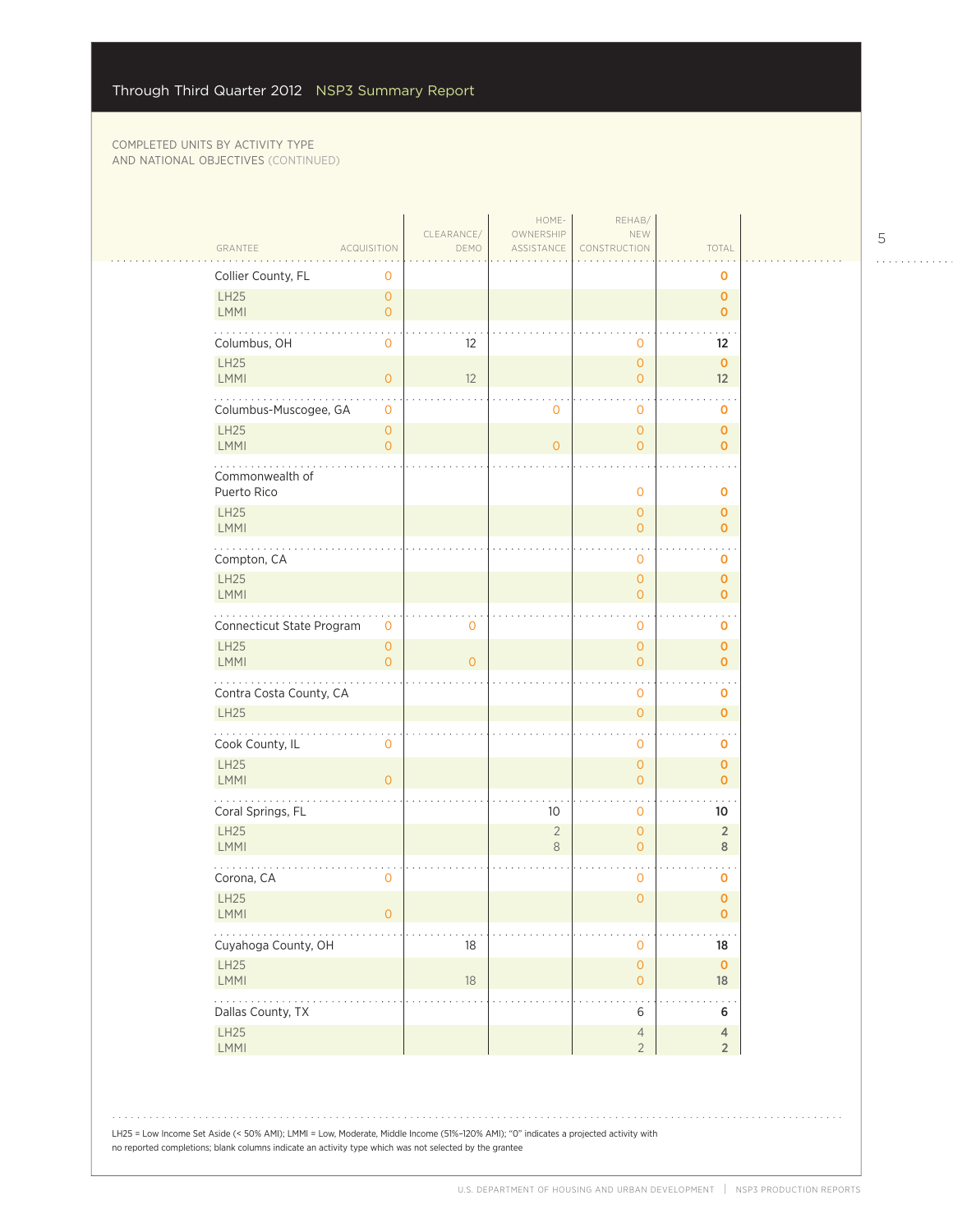$\mathbb{R}$ 

|                                                          | CLEARANCE/     | HOME-<br>OWNERSHIP   | REHAB/<br>NEW                              |                                |  |
|----------------------------------------------------------|----------------|----------------------|--------------------------------------------|--------------------------------|--|
| GRANTEE<br><b>ACQUISITION</b><br>Collier County, FL<br>0 | DEMO           | ASSISTANCE           | CONSTRUCTION                               | TOTAL<br>0                     |  |
| LH25<br>$\mathbf{O}$<br>LMMI<br>$\overline{O}$           |                |                      |                                            | $\mathbf{O}$<br>$\overline{0}$ |  |
| Columbus, OH<br>$\mathbf 0$                              | 12             |                      | $\mathbf 0$                                | 12                             |  |
| LH25<br><b>LMMI</b><br>$\mathbf{O}$                      | 12             |                      | $\overline{0}$<br>$\overline{O}$           | $\mathbf{o}$<br>12             |  |
| Columbus-Muscogee, GA<br>$\mathbf 0$                     |                | $\mathbf 0$          | 0                                          | 0                              |  |
| <b>LH25</b><br>$\mathbf{O}$<br>LMMI                      |                | $\overline{O}$       | $\overline{O}$                             | $\mathbf{O}$                   |  |
| $\overline{O}$<br>Commonwealth of                        |                |                      | $\mathbf 0$                                | $\mathbf{O}$                   |  |
| Puerto Rico<br><b>LH25</b>                               |                |                      | $\mathbf 0$<br>$\overline{0}$              | o<br>0                         |  |
| LMMI                                                     |                |                      | $\overline{O}$                             | $\mathbf{0}$                   |  |
| Compton, CA                                              |                |                      | 0                                          | 0                              |  |
| LH25<br>LMMI                                             |                |                      | $\overline{O}$<br>$\overline{0}$           | $\mathbf{O}$<br>0              |  |
| Connecticut State Program<br>$\mathbf 0$                 | 0              |                      | 0                                          | 0                              |  |
| <b>LH25</b><br>$\mathbf{O}$<br>LMMI<br>$\Omega$          | $\overline{O}$ |                      | $\overline{O}$<br>$\overline{O}$           | $\mathbf{o}$<br>$\mathbf{O}$   |  |
| Contra Costa County, CA                                  |                |                      | $\mathbf 0$                                | 0                              |  |
| LH25<br>.                                                |                |                      | $\overline{0}$                             | $\mathbf{O}$                   |  |
| Cook County, IL<br>$\mathbf 0$<br><b>LH25</b>            |                |                      | $\mathbf 0$<br>$\overline{0}$              | o<br>$\mathbf{o}$              |  |
| LMMI<br>$\Omega$                                         |                |                      | $\overline{0}$                             | $\mathbf{0}$                   |  |
| Coral Springs, FL<br><b>LH25</b>                         |                | 10<br>$\overline{2}$ | 0<br>$\overline{O}$                        | 10<br>$\overline{2}$           |  |
| LMMI<br>Corona, CA<br>$\overline{0}$                     |                | 8                    | $\overline{O}$<br>0                        | 8<br>0                         |  |
| <b>LH25</b><br>LMMI<br>$\circ$                           |                |                      | $\overline{0}$                             | $\mathbf 0$<br>$\mathbf 0$     |  |
| $\sim$ $\sim$ $\sim$<br>Cuyahoga County, OH              | 18             |                      | 0                                          | $18\,$                         |  |
| LH25<br><b>LMMI</b>                                      | $18\,$         |                      | $\mathsf{O}\xspace$<br>$\mathsf{O}\xspace$ | $\mathbf 0$<br>18              |  |
| والمالم والمالي<br>Dallas County, TX                     |                |                      | 6                                          | 6                              |  |
| LH25<br>LMMI                                             |                |                      | $\overline{4}$<br>$\overline{2}$           | $\overline{4}$<br>$2^{\circ}$  |  |

LH25 = Low Income Set Aside (< 50% AMI); LMMI = Low, Moderate, Middle Income (51%–120% AMI); "0" indicates a projected activity with no reported completions; blank columns indicate an activity type which was not selected by the grantee

5

 $\begin{array}{cccccccccccccc} . & . & . & . & . & . & . & . & . & . & . & . & . \end{array}$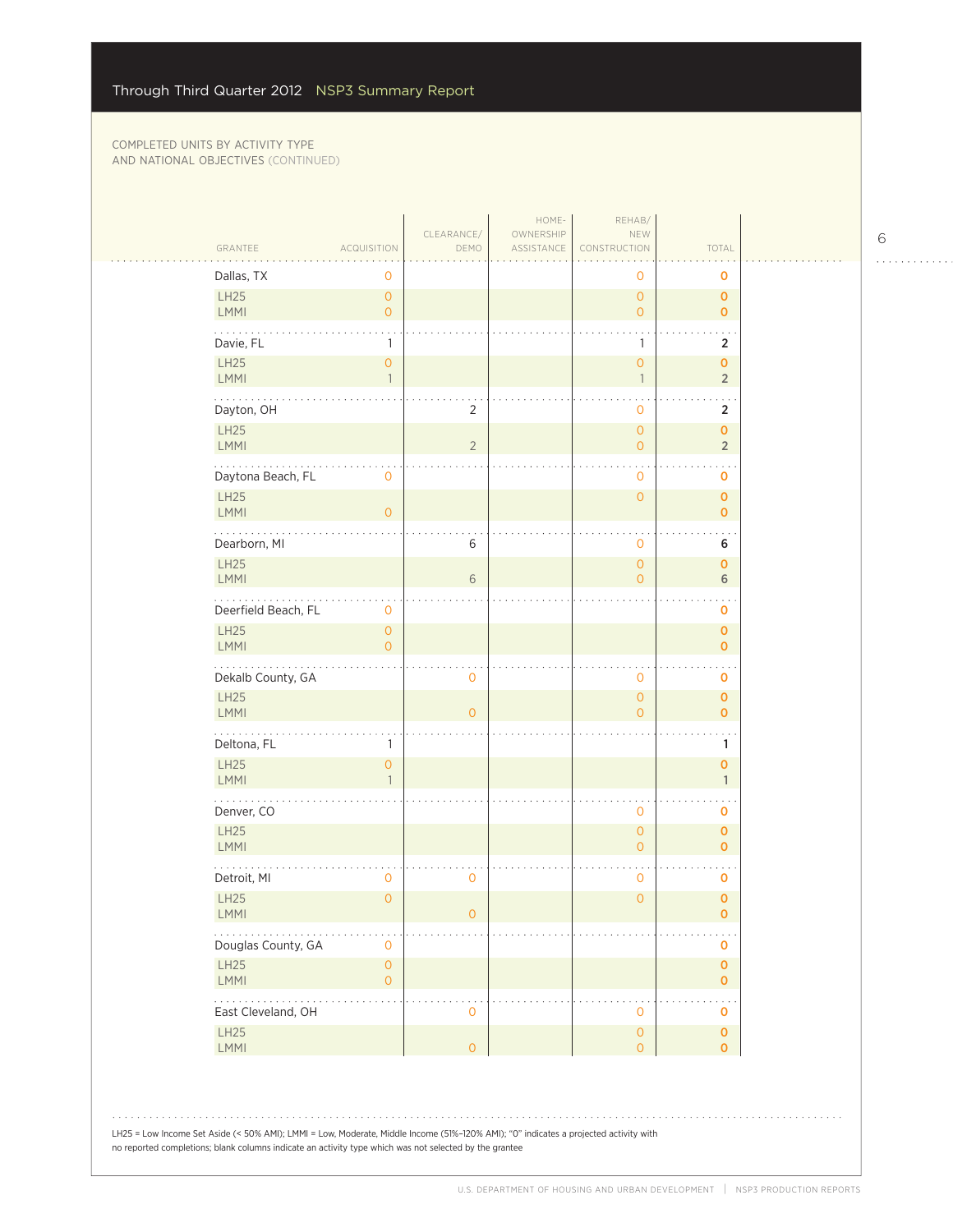| Dallas, TX<br>0<br>0<br>o<br>LH25<br>$\overline{0}$<br>$\overline{0}$<br>$\mathbf 0$<br><b>LMMI</b><br>$\overline{O}$<br>$\overline{O}$<br>$\mathbf{0}$<br>Davie, FL<br>2<br>$\mathbf{1}$<br>1<br><b>LH25</b><br>$\overline{0}$<br>$\overline{0}$<br>$\mathbf 0$<br>LMMI<br>$\overline{2}$<br>$\mathbf{1}$<br>$\overline{1}$<br>Dayton, OH<br>$\overline{2}$<br>0<br>2<br>LH25<br>$\overline{0}$<br>$\mathbf 0$<br><b>LMMI</b><br>$\overline{2}$<br>$\overline{2}$<br>$\overline{O}$<br>.<br>$\ddotsc$<br>Daytona Beach, FL<br>$\mathbf 0$<br>$\mathbf 0$<br>0<br>LH25<br>$\mathsf{O}\xspace$<br>$\mathbf 0$<br>LMMI<br>$\overline{O}$<br>$\mathbf{O}$<br>Dearborn, MI<br>6<br>$\mathbf 0$<br>6<br>LH25<br>$\mathsf{O}\xspace$<br>$\mathbf{O}$<br><b>LMMI</b><br>6<br>6<br>$\overline{0}$<br>.<br>Deerfield Beach, FL<br>$\mathbf 0$<br>0<br>LH25<br>$\overline{O}$<br>$\mathbf{O}$<br><b>LMMI</b><br>$\overline{O}$<br>$\mathbf 0$<br>Dekalb County, GA<br>0<br>0<br>$\mathbf 0$ |  |
|-----------------------------------------------------------------------------------------------------------------------------------------------------------------------------------------------------------------------------------------------------------------------------------------------------------------------------------------------------------------------------------------------------------------------------------------------------------------------------------------------------------------------------------------------------------------------------------------------------------------------------------------------------------------------------------------------------------------------------------------------------------------------------------------------------------------------------------------------------------------------------------------------------------------------------------------------------------------------------------|--|
|                                                                                                                                                                                                                                                                                                                                                                                                                                                                                                                                                                                                                                                                                                                                                                                                                                                                                                                                                                                   |  |
|                                                                                                                                                                                                                                                                                                                                                                                                                                                                                                                                                                                                                                                                                                                                                                                                                                                                                                                                                                                   |  |
|                                                                                                                                                                                                                                                                                                                                                                                                                                                                                                                                                                                                                                                                                                                                                                                                                                                                                                                                                                                   |  |
|                                                                                                                                                                                                                                                                                                                                                                                                                                                                                                                                                                                                                                                                                                                                                                                                                                                                                                                                                                                   |  |
|                                                                                                                                                                                                                                                                                                                                                                                                                                                                                                                                                                                                                                                                                                                                                                                                                                                                                                                                                                                   |  |
|                                                                                                                                                                                                                                                                                                                                                                                                                                                                                                                                                                                                                                                                                                                                                                                                                                                                                                                                                                                   |  |
|                                                                                                                                                                                                                                                                                                                                                                                                                                                                                                                                                                                                                                                                                                                                                                                                                                                                                                                                                                                   |  |
|                                                                                                                                                                                                                                                                                                                                                                                                                                                                                                                                                                                                                                                                                                                                                                                                                                                                                                                                                                                   |  |
|                                                                                                                                                                                                                                                                                                                                                                                                                                                                                                                                                                                                                                                                                                                                                                                                                                                                                                                                                                                   |  |
|                                                                                                                                                                                                                                                                                                                                                                                                                                                                                                                                                                                                                                                                                                                                                                                                                                                                                                                                                                                   |  |
|                                                                                                                                                                                                                                                                                                                                                                                                                                                                                                                                                                                                                                                                                                                                                                                                                                                                                                                                                                                   |  |
|                                                                                                                                                                                                                                                                                                                                                                                                                                                                                                                                                                                                                                                                                                                                                                                                                                                                                                                                                                                   |  |
|                                                                                                                                                                                                                                                                                                                                                                                                                                                                                                                                                                                                                                                                                                                                                                                                                                                                                                                                                                                   |  |
| <b>LH25</b><br>$\overline{0}$<br>$\mathbf 0$<br><b>LMMI</b><br>$\overline{0}$<br>$\overline{O}$<br>$\mathbf{O}$                                                                                                                                                                                                                                                                                                                                                                                                                                                                                                                                                                                                                                                                                                                                                                                                                                                                   |  |
| Deltona, FL<br>1<br>1                                                                                                                                                                                                                                                                                                                                                                                                                                                                                                                                                                                                                                                                                                                                                                                                                                                                                                                                                             |  |
| <b>LH25</b><br>$\overline{0}$<br>$\mathbf 0$<br>LMMI<br>$\mathbf{1}$                                                                                                                                                                                                                                                                                                                                                                                                                                                                                                                                                                                                                                                                                                                                                                                                                                                                                                              |  |
| Denver, CO<br>0<br>$\mathbf 0$                                                                                                                                                                                                                                                                                                                                                                                                                                                                                                                                                                                                                                                                                                                                                                                                                                                                                                                                                    |  |
| LH25<br>$\overline{0}$<br>$\mathbf 0$<br><b>LMMI</b><br>$\mathbf{0}$<br>$\mathbf 0$                                                                                                                                                                                                                                                                                                                                                                                                                                                                                                                                                                                                                                                                                                                                                                                                                                                                                               |  |
| Detroit, MI<br>0<br>0<br>0<br>$\mathbf 0$                                                                                                                                                                                                                                                                                                                                                                                                                                                                                                                                                                                                                                                                                                                                                                                                                                                                                                                                         |  |
| LH25<br>$\mathbf{O}$<br>$\overline{O}$<br>$\pmb{0}$<br><b>LMMI</b><br>0<br>0                                                                                                                                                                                                                                                                                                                                                                                                                                                                                                                                                                                                                                                                                                                                                                                                                                                                                                      |  |
| Douglas County, GA<br>$\mathbf 0$<br>$\mathbf 0$                                                                                                                                                                                                                                                                                                                                                                                                                                                                                                                                                                                                                                                                                                                                                                                                                                                                                                                                  |  |
| <b>LH25</b><br>$\mathsf{O}\xspace$<br>$\mathbf 0$<br>$\mathsf{O}\xspace$<br><b>LMMI</b><br>$\mathbf{O}$                                                                                                                                                                                                                                                                                                                                                                                                                                                                                                                                                                                                                                                                                                                                                                                                                                                                           |  |
| .<br>East Cleveland, OH<br>0<br>0<br>0                                                                                                                                                                                                                                                                                                                                                                                                                                                                                                                                                                                                                                                                                                                                                                                                                                                                                                                                            |  |
| LH25<br>$\overline{0}$<br>$\mathbf 0$<br>LMMI<br>$\overline{0}$<br>$\overline{O}$<br>$\mathbf{O}$                                                                                                                                                                                                                                                                                                                                                                                                                                                                                                                                                                                                                                                                                                                                                                                                                                                                                 |  |
| LH25 = Low Income Set Aside (< 50% AMI); LMMI = Low, Moderate, Middle Income (51%-120% AMI); "0" indicates a projected activity with<br>no reported completions; blank columns indicate an activity type which was not selected by the grantee                                                                                                                                                                                                                                                                                                                                                                                                                                                                                                                                                                                                                                                                                                                                    |  |

 $\begin{array}{cccccccccccccc} . & . & . & . & . & . & . & . & . & . & . & . & . \end{array}$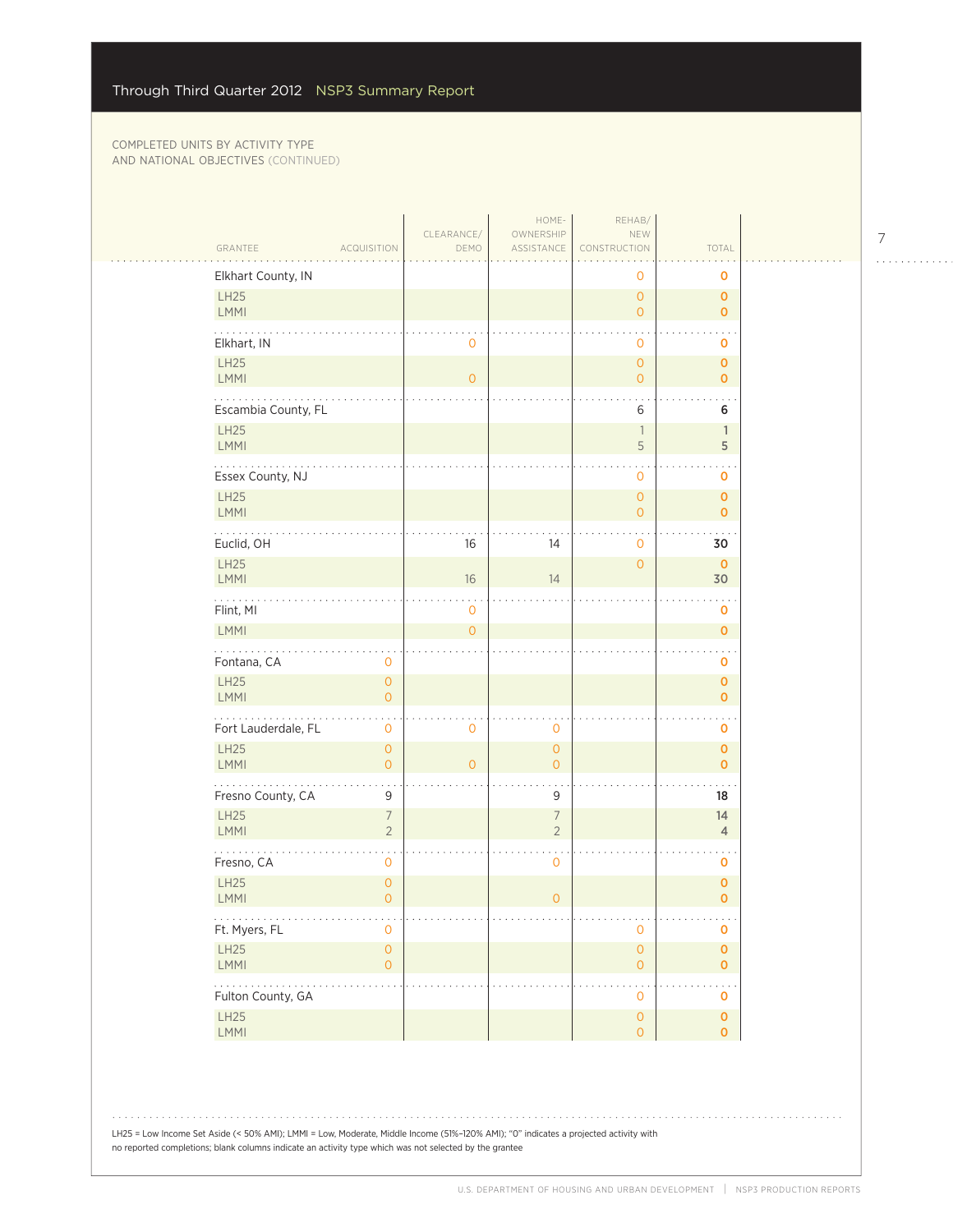|                     |                                       | CLEARANCE/     | HOME-<br>OWNERSHIP             | REHAB/<br>NEW                         |                               |
|---------------------|---------------------------------------|----------------|--------------------------------|---------------------------------------|-------------------------------|
| GRANTEE             | ACQUISITION                           | DEMO           | ASSISTANCE                     | CONSTRUCTION                          | TOTAL                         |
| Elkhart County, IN  |                                       |                |                                | 0                                     | $\mathbf 0$                   |
| LH25<br>LMMI        |                                       |                |                                | $\mathbf{O}$<br>$\overline{O}$        | $\mathbf 0$<br>$\mathbf{0}$   |
|                     |                                       |                |                                |                                       |                               |
| Elkhart, IN<br>LH25 |                                       | $\mathbf 0$    |                                | $\mathbf 0$<br>$\mathbf{O}$           | 0<br>$\mathbf 0$              |
| <b>LMMI</b>         |                                       | $\mathbf{O}$   |                                | $\overline{O}$                        | $\overline{0}$                |
| Escambia County, FL |                                       |                |                                | 6                                     | 6                             |
| <b>LH25</b><br>LMMI |                                       |                |                                | $\overline{\phantom{a}}$<br>5         | $\mathbf{1}$<br>5             |
| Essex County, NJ    |                                       |                |                                | $\mathbf 0$                           | 0                             |
| LH25                |                                       |                |                                | $\mathbf{O}$                          | $\mathbf{0}$                  |
| LMMI                |                                       |                |                                | $\overline{0}$                        | $\mathbf{0}$                  |
| Euclid, OH          |                                       | 16             | 14                             | $\mathbf 0$                           | 30                            |
| LH25<br><b>LMMI</b> |                                       | 16             | 14                             | $\overline{O}$                        | $\mathbf 0$<br>30             |
| .<br>Flint, MI      |                                       | $\mathbf 0$    |                                |                                       | $\mathbf 0$                   |
| LMMI                |                                       | $\overline{0}$ |                                |                                       | $\mathbf 0$                   |
| Fontana, CA         | $\mathbf 0$                           |                |                                |                                       | $\mathbf 0$                   |
| LH25                | $\overline{O}$                        |                |                                |                                       | $\mathbf 0$                   |
| LMMI                | $\overline{O}$                        |                |                                |                                       | $\mathbf{O}$                  |
| Fort Lauderdale, FL | $\mathbf{O}$                          | $\mathbf 0$    | $\mathbf 0$                    |                                       | $\mathbf 0$                   |
| LH25<br>LMMI        | $\circ$<br>$\overline{O}$             | $\overline{O}$ | $\mathbf{O}$<br>$\overline{O}$ |                                       | $\mathbf{0}$<br>$\mathbf{0}$  |
| Fresno County, CA   | 9                                     |                | 9                              |                                       | 18                            |
| LH25                | $\overline{7}$                        |                | $\overline{7}$                 |                                       | 14                            |
| <b>LMMI</b><br>.    | $\overline{2}$                        |                | $\overline{2}$                 |                                       | $\overline{4}$                |
| Fresno, CA          | $\mathbf 0$                           |                | $\mathbf 0$                    |                                       | $\mathbf 0$                   |
| <b>LH25</b><br>LMMI | $\mathsf{O}\xspace$<br>$\overline{O}$ |                | $\overline{O}$                 |                                       | $\mathbf 0$<br>$\mathbf{O}$   |
| .<br>Ft. Myers, FL  | $\overline{0}$                        |                |                                | $\mathbf 0$                           | $\mathbf 0$                   |
| LH25<br>LMMI        | $\mathsf{O}\xspace$<br>$\overline{O}$ |                |                                | $\mathsf{O}\xspace$<br>$\overline{0}$ | $\mathbf 0$<br>$\overline{0}$ |
| .                   |                                       |                |                                | $\mathcal{L}$                         |                               |
| Fulton County, GA   |                                       |                |                                | $\mathbf 0$                           | $\mathbf 0$                   |
| LH25                |                                       |                |                                | $\mathsf O$                           | $\mathbf 0$                   |

LH25 = Low Income Set Aside (< 50% AMI); LMMI = Low, Moderate, Middle Income (51%–120% AMI); "0" indicates a projected activity with no reported completions; blank columns indicate an activity type which was not selected by the grantee

7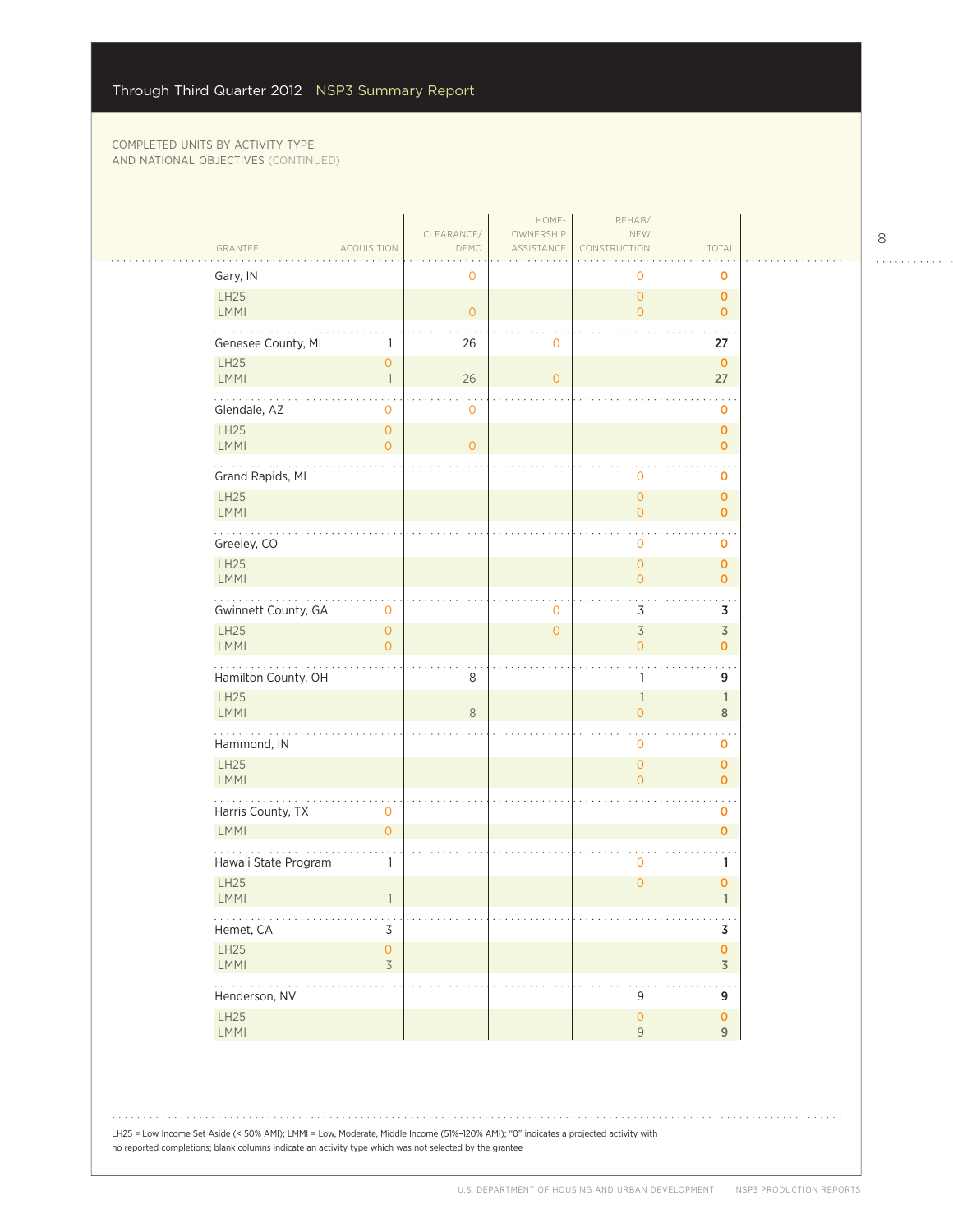المتحدث

| GRANTEE                            | <b>ACQUISITION</b>                    | CLEARANCE/<br>DEMO | HOME-<br>OWNERSHIP<br>ASSISTANCE | REHAB/<br>NEW<br>CONSTRUCTION    | TOTAL                            |
|------------------------------------|---------------------------------------|--------------------|----------------------------------|----------------------------------|----------------------------------|
| Gary, IN                           |                                       | $\mathbf 0$        |                                  | 0                                | 0                                |
| LH25<br><b>LMMI</b>                |                                       | $\overline{O}$     |                                  | $\overline{0}$<br>$\overline{0}$ | 0<br>0                           |
| Genesee County, MI                 | 1                                     | 26                 | $\mathbf 0$                      |                                  | 27                               |
| LH25                               | $\overline{O}$                        |                    |                                  |                                  | $\mathbf 0$                      |
| <b>LMMI</b><br>.                   | $\overline{1}$                        | 26                 | $\overline{0}$                   |                                  | 27                               |
| Glendale, AZ                       | 0                                     | 0                  |                                  |                                  | 0                                |
| <b>LH25</b><br><b>LMMI</b>         | $\overline{O}$<br>$\overline{O}$      | $\overline{O}$     |                                  |                                  | $\overline{0}$<br>$\mathbf{o}$   |
| Grand Rapids, MI                   |                                       |                    |                                  | $\mathbf 0$                      | 0                                |
| <b>LH25</b>                        |                                       |                    |                                  | $\overline{0}$                   | $\overline{0}$                   |
| <b>LMMI</b>                        |                                       |                    |                                  | $\overline{0}$                   | 0                                |
| Greeley, CO                        |                                       |                    |                                  | 0                                | 0                                |
| LH25<br><b>LMMI</b>                |                                       |                    |                                  | $\overline{0}$<br>$\overline{0}$ | $\overline{0}$<br>$\overline{0}$ |
| .<br>Gwinnett County, GA           | 0                                     |                    | $\mathbf 0$                      | 3                                | $\ddotsc$<br>3                   |
| <b>LH25</b>                        | $\overline{O}$                        |                    | $\overline{O}$                   | $\overline{\mathcal{S}}$         | $\overline{\mathsf{3}}$          |
| LMMI                               | $\overline{O}$                        |                    |                                  | $\overline{0}$                   | $\mathbf{o}$                     |
| Hamilton County, OH<br><b>LH25</b> |                                       | 8                  |                                  | $\mathbf{1}$<br>$\mathbb{1}$     | 9<br>$\mathbb{1}$                |
| <b>LMMI</b>                        |                                       | 8                  |                                  | $\mathsf{O}\xspace$              | $\,8\,$                          |
| Hammond, IN                        |                                       |                    |                                  | 0                                | 0                                |
| LH25<br><b>LMMI</b>                |                                       |                    |                                  | $\overline{0}$<br>$\overline{0}$ | 0<br>$\overline{0}$              |
| Harris County, TX                  | $\mathbf 0$                           |                    |                                  |                                  | 0                                |
| LMMI                               | $\mathsf{O}\xspace$                   |                    |                                  |                                  | $\overline{0}$                   |
| Hawaii State Program               | $\mathbf{1}$                          |                    |                                  | 0                                | 1                                |
| <b>LH25</b><br>LMMI                | $\overline{\phantom{a}}$              |                    |                                  | $\overline{0}$                   | $\pmb{0}$<br>$\mathbf{1}$        |
| .<br>Hemet, CA                     | $\sim$ $\sim$<br>3                    |                    |                                  |                                  | $\sim$ $\sim$<br>3               |
| LH25<br>LMMI                       | $\mathsf{O}\xspace$<br>$\overline{3}$ |                    |                                  |                                  | $\mathbf 0$<br>$\overline{3}$    |
| 2000-000<br>Henderson, NV          |                                       |                    |                                  | 9                                | 9                                |
| LH25<br>LMMI                       |                                       |                    |                                  | $\mathsf{O}\xspace$<br>9         | $\mathbf 0$<br>9                 |

LH25 = Low Income Set Aside (< 50% AMI); LMMI = Low, Moderate, Middle Income (51%–120% AMI); "0" indicates a projected activity with no reported completions; blank columns indicate an activity type which was not selected by the grantee

 $\begin{array}{cccccccccccccc} . & . & . & . & . & . & . & . & . & . & . & . & . \end{array}$ 

 $1.1.1.1.1.1.1$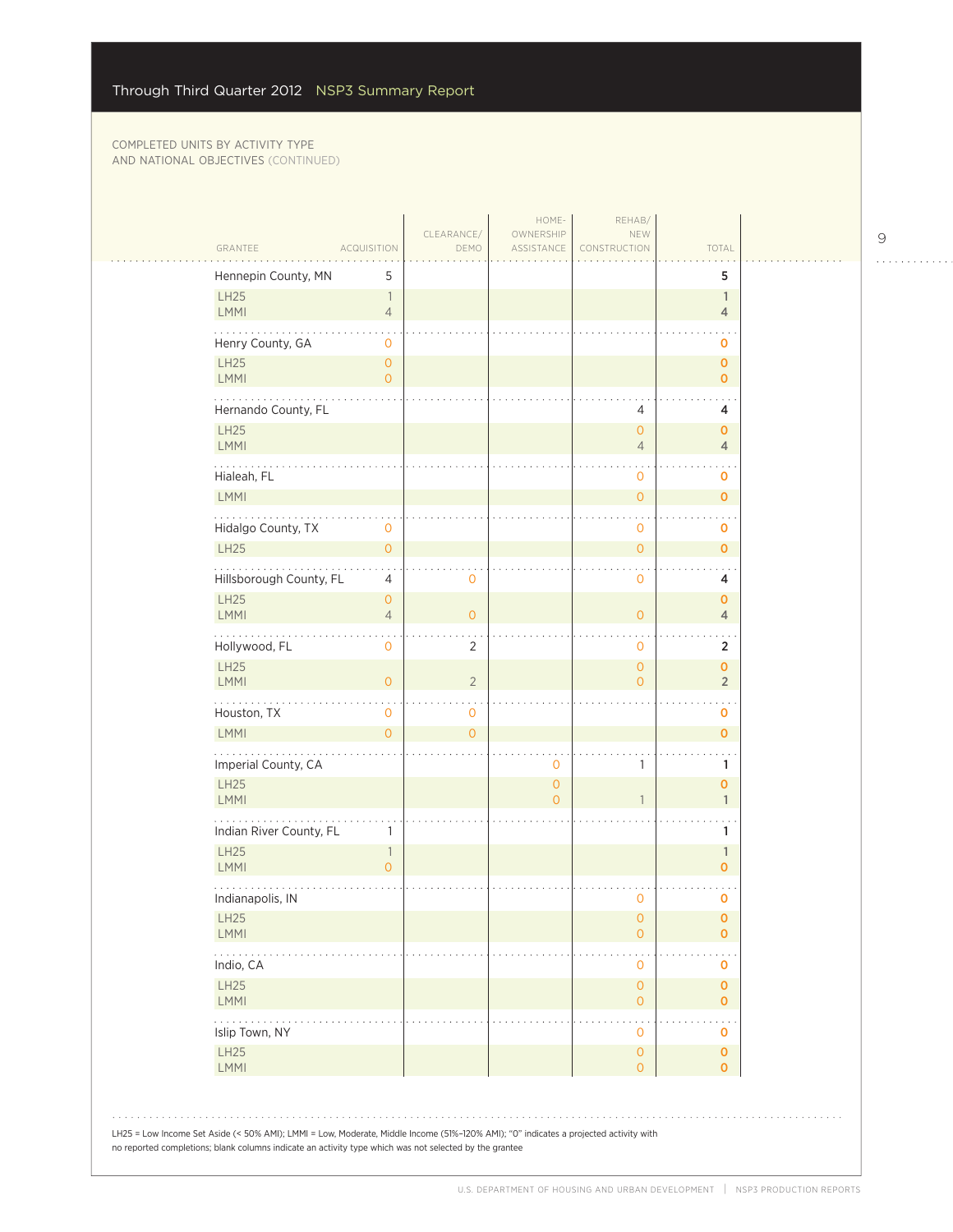| GRANTEE                                                                                                                                                                                                                                        | <b>ACQUISITION</b>                    | CLEARANCE/<br>DEMO | HOME-<br>OWNERSHIP<br>ASSISTANCE | REHAB/<br>NEW<br>CONSTRUCTION               | TOTAL                          |  |
|------------------------------------------------------------------------------------------------------------------------------------------------------------------------------------------------------------------------------------------------|---------------------------------------|--------------------|----------------------------------|---------------------------------------------|--------------------------------|--|
| Hennepin County, MN                                                                                                                                                                                                                            | 5                                     |                    |                                  |                                             | 5                              |  |
| LH25<br><b>LMMI</b>                                                                                                                                                                                                                            | $\mathbb{1}$<br>$\overline{4}$        |                    |                                  |                                             | $\mathbf{1}$<br>$\overline{4}$ |  |
| Henry County, GA                                                                                                                                                                                                                               | $\mathbf 0$                           |                    |                                  |                                             | o                              |  |
| LH25<br><b>LMMI</b>                                                                                                                                                                                                                            | $\mathsf{O}\xspace$<br>$\overline{0}$ |                    |                                  |                                             | $\mathbf 0$<br>$\mathbf{O}$    |  |
| Hernando County, FL                                                                                                                                                                                                                            |                                       |                    |                                  | 4                                           | 4                              |  |
| LH25<br>LMMI                                                                                                                                                                                                                                   |                                       |                    |                                  | $\mathbf{O}$<br>$\overline{4}$              | $\mathbf 0$<br>4               |  |
| Hialeah, FL<br>LMMI                                                                                                                                                                                                                            |                                       |                    |                                  | 0                                           | o                              |  |
|                                                                                                                                                                                                                                                |                                       |                    |                                  | $\mathsf{O}\xspace$                         | $\mathbf{o}$                   |  |
| Hidalgo County, TX<br><b>LH25</b>                                                                                                                                                                                                              | 0<br>$\mathsf{O}\xspace$              |                    |                                  | 0<br>$\mathsf{O}\xspace$                    | o<br>$\mathbf 0$               |  |
| Hillsborough County, FL                                                                                                                                                                                                                        | 4                                     | 0                  |                                  | 0                                           | 4                              |  |
| <b>LH25</b><br><b>LMMI</b>                                                                                                                                                                                                                     | $\circ$<br>$\sqrt{4}$                 | $\overline{O}$     |                                  | $\circ$                                     | $\mathbf 0$<br>4               |  |
| .<br>Hollywood, FL                                                                                                                                                                                                                             | 0                                     | $\overline{2}$     |                                  | $\mathbf 0$                                 | $\overline{2}$                 |  |
| LH25<br>LMMI                                                                                                                                                                                                                                   | $\mathbf{O}$                          | $\overline{2}$     |                                  | $\mathsf{O}\xspace$<br>$\overline{O}$       | $\pmb{0}$<br>$\overline{2}$    |  |
| Houston, TX                                                                                                                                                                                                                                    | $\mathsf{O}\xspace$                   | $\mathbf 0$        |                                  |                                             | 0                              |  |
| <b>LMMI</b>                                                                                                                                                                                                                                    | $\overline{0}$                        | $\overline{O}$     |                                  |                                             | $\mathbf{o}$                   |  |
| Imperial County, CA                                                                                                                                                                                                                            |                                       |                    | $\mathbf 0$                      | 1                                           | 1                              |  |
| <b>LH25</b><br><b>LMMI</b>                                                                                                                                                                                                                     |                                       |                    | $\overline{O}$<br>$\overline{0}$ | 1                                           | $\mathbf 0$<br>$\mathbf{1}$    |  |
| Indian River County, FL                                                                                                                                                                                                                        | 1                                     |                    |                                  |                                             | 1                              |  |
| <b>LH25</b><br>LMMI                                                                                                                                                                                                                            | $\mathbb{1}$<br>$\overline{O}$        |                    |                                  |                                             | $\mathbf{1}$<br>$\mathbf 0$    |  |
| Indianapolis, IN                                                                                                                                                                                                                               |                                       |                    |                                  | $\mathbf 0$                                 | o                              |  |
| LH25<br><b>LMMI</b>                                                                                                                                                                                                                            |                                       |                    |                                  | $\mathsf{O}\xspace$<br>$\mathsf{O}\xspace$  | $\pmb{0}$<br>$\overline{0}$    |  |
| $\cdots$<br>Indio, CA                                                                                                                                                                                                                          |                                       |                    |                                  | $\ddot{\phantom{1}}$<br>$\mathsf{O}\xspace$ | 0                              |  |
| LH25<br><b>LMMI</b>                                                                                                                                                                                                                            |                                       |                    |                                  | $\circ$<br>$\circ$                          | $\mathbf 0$<br>$\overline{0}$  |  |
| .<br>Islip Town, NY                                                                                                                                                                                                                            |                                       |                    |                                  | 0                                           | 0                              |  |
| LH25<br>LMMI                                                                                                                                                                                                                                   |                                       |                    |                                  | $\mathsf{O}\xspace$<br>$\circ$              | $\mathbf 0$<br>$\mathbf{O}$    |  |
| LH25 = Low Income Set Aside (< 50% AMI); LMMI = Low, Moderate, Middle Income (51%-120% AMI); "0" indicates a projected activity with<br>no reported completions; blank columns indicate an activity type which was not selected by the grantee |                                       |                    |                                  |                                             |                                |  |

9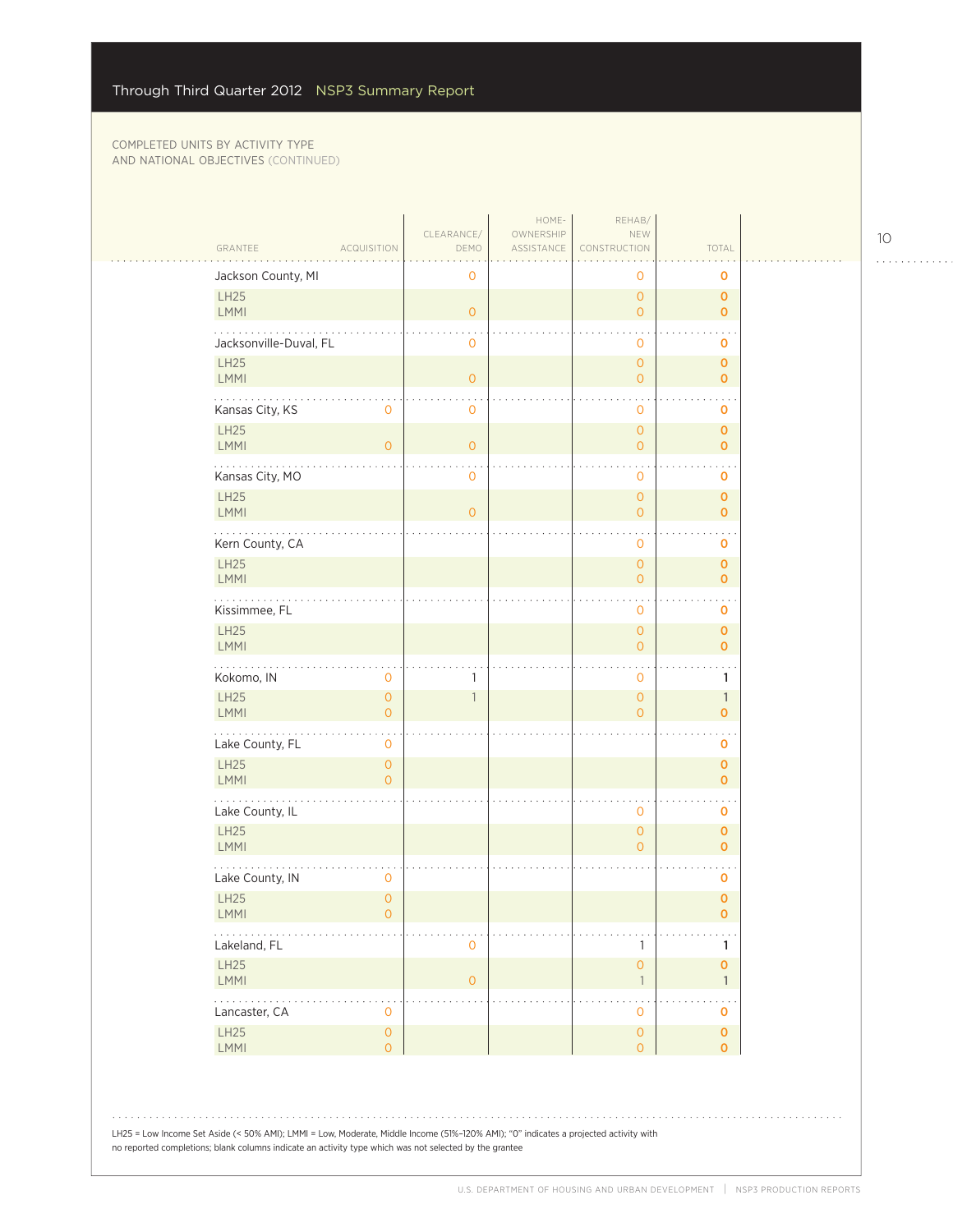| GRANTEE<br><b>ACQUISITION</b>                                 | CLEARANCE/<br>DEMO       | HOME-<br>OWNERSHIP<br>ASSISTANCE | REHAB/<br>NEW<br>CONSTRUCTION         | TOTAL                         |
|---------------------------------------------------------------|--------------------------|----------------------------------|---------------------------------------|-------------------------------|
| Jackson County, MI                                            | $\mathbf 0$              |                                  | 0                                     | 0                             |
| <b>LH25</b><br>LMMI                                           | $\circ$                  |                                  | $\mathsf{O}\xspace$<br>$\overline{0}$ | $\mathbf 0$<br>$\mathbf{O}$   |
| Jacksonville-Duval, FL                                        | 0                        |                                  | 0                                     | 0                             |
| <b>LH25</b>                                                   |                          |                                  | $\mathsf{O}\xspace$                   | $\mathbf 0$                   |
| LMMI                                                          | $\overline{O}$           |                                  | $\overline{0}$                        | $\mathbf 0$                   |
| Kansas City, KS<br>0                                          | $\mathbf 0$              |                                  | 0                                     | O                             |
| LH25<br><b>LMMI</b><br>$\overline{O}$                         | $\overline{0}$           |                                  | $\mathsf{O}\xspace$<br>$\mathbf{0}$   | $\mathbf 0$<br>$\mathbf{O}$   |
| Kansas City, MO                                               | $\mathbf 0$              |                                  | 0                                     | O                             |
| <b>LH25</b><br>LMMI                                           | $\overline{O}$           |                                  | $\overline{0}$<br>$\overline{0}$      | $\mathbf 0$<br>$\overline{0}$ |
| Kern County, CA                                               |                          |                                  | 0                                     | 0                             |
| <b>LH25</b><br>LMMI                                           |                          |                                  | $\overline{0}$<br>$\mathsf{O}\xspace$ | $\mathbf 0$<br>$\mathbf 0$    |
| Kissimmee, FL                                                 |                          |                                  | 0                                     | 0                             |
| <b>LH25</b><br>LMMI                                           |                          |                                  | $\mathsf O$<br>$\mathbf{0}$           | $\mathbf 0$<br>$\overline{0}$ |
| Kokomo, IN<br>0                                               | 1                        |                                  | 0                                     | 1                             |
| <b>LH25</b><br>$\mathsf{O}\xspace$<br><b>LMMI</b><br>$\Omega$ | $\overline{\phantom{a}}$ |                                  | $\mathsf{O}\xspace$<br>$\overline{0}$ | $\mathbb{1}$<br>$\Omega$      |
| .<br>Lake County, FL<br>0                                     |                          |                                  |                                       | 0                             |
| LH25<br>$\overline{O}$<br>LMMI<br>$\overline{O}$              |                          |                                  |                                       | $\mathbf 0$<br>$\mathbf{O}$   |
| Lake County, IL                                               |                          |                                  | 0                                     | 0                             |
| <b>LH25</b><br>LMMI                                           |                          |                                  | $\mathsf{O}\xspace$<br>$\overline{O}$ | $\mathbf 0$<br>$\mathbf{O}$   |
| Lake County, IN<br>$\overline{0}$                             |                          |                                  |                                       | $\mathbf 0$                   |
| <b>LH25</b><br>$\overline{O}$<br><b>LMMI</b><br>Ω             |                          |                                  |                                       | $\mathbf 0$<br>0              |
| Lakeland, FL                                                  | 0                        |                                  | 1                                     | 1                             |
| <b>LH25</b><br>LMMI                                           | $\mathsf{O}\xspace$      |                                  | $\mathsf{O}\xspace$<br>$\mathbb{1}$   | $\mathbf 0$<br>1              |
| $\ldots$ .<br>Lancaster, CA<br>0                              |                          |                                  | 0                                     | $\ddotsc$<br>O                |
| LH25<br>$\mathsf{O}\xspace$                                   |                          |                                  | $\circ$                               | $\pmb{0}$                     |
| LMMI<br>$\overline{O}$                                        |                          |                                  | $\overline{0}$                        | $\mathbf{0}$                  |

10

. . . . . . . . . . . .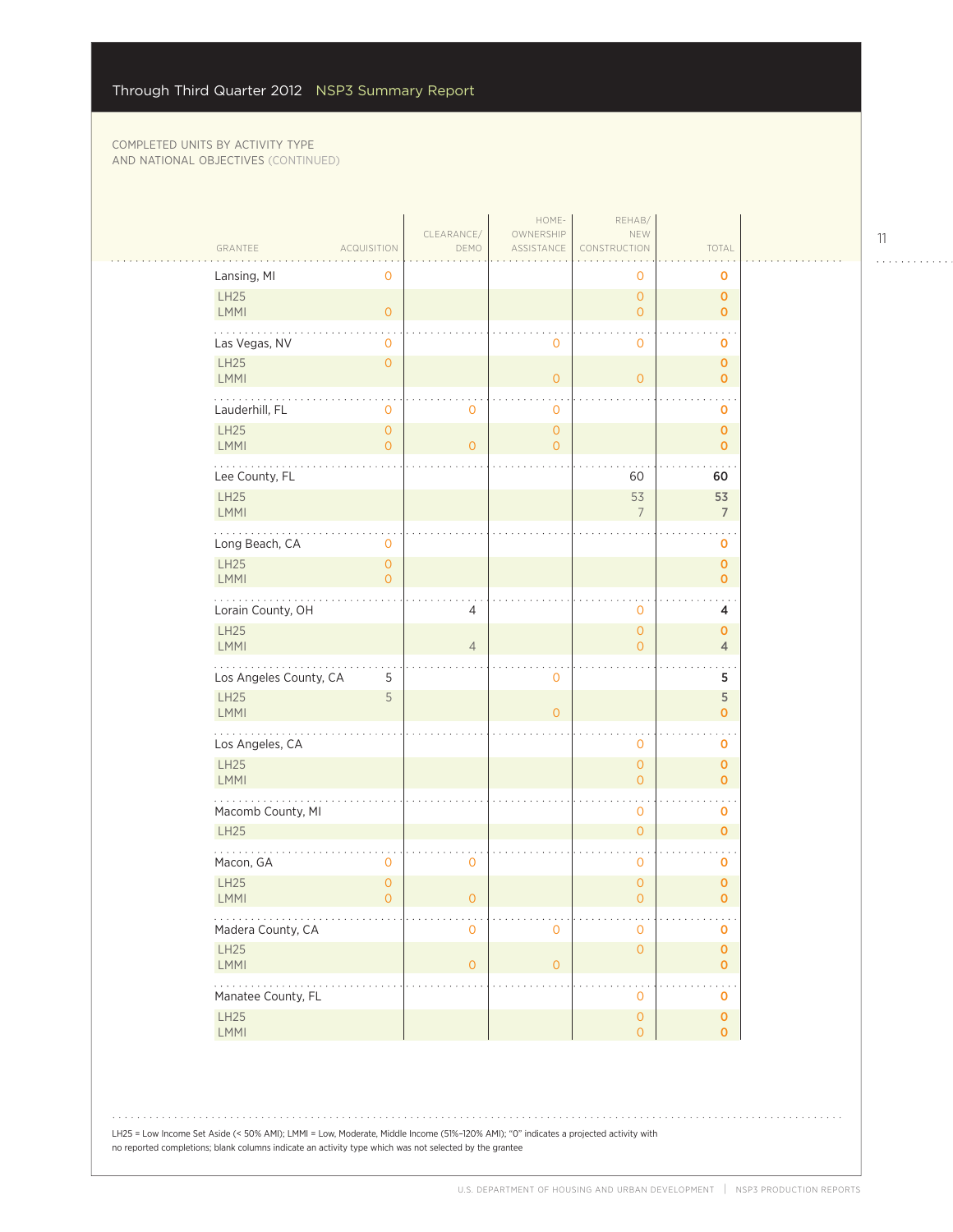$\sim$  .

| GRANTEE<br><b>ACQUISITION</b> |                           | CLEARANCE/<br>DEMO  | HOME-<br>OWNERSHIP<br>ASSISTANCE | REHAB/<br>NEW<br>CONSTRUCTION         | TOTAL                             |
|-------------------------------|---------------------------|---------------------|----------------------------------|---------------------------------------|-----------------------------------|
| Lansing, MI                   | 0                         |                     |                                  | 0                                     | o                                 |
| LH25<br>LMMI                  | $\circ$                   |                     |                                  | $\overline{O}$<br>$\overline{O}$      | $\mathbf 0$<br>$\mathbf{O}$       |
| Las Vegas, NV                 | $\mathbf{O}$              |                     | $\mathbf 0$                      | $\mathbf 0$                           | $\mathbf 0$                       |
| <b>LH25</b><br><b>LMMI</b>    | $\circ$                   |                     | $\overline{0}$                   | $\overline{0}$                        | $\mathbf 0$<br>$\mathbf{O}$       |
| Lauderhill, FL                | $\mathbf 0$               | 0                   | 0                                |                                       | 0                                 |
| LH25<br><b>LMMI</b>           | $\circ$<br>$\overline{O}$ | $\overline{O}$      | $\overline{O}$<br>$\overline{0}$ |                                       | $\mathbf 0$<br>$\mathbf 0$        |
| Lee County, FL                |                           |                     |                                  | 60                                    | 60                                |
| LH25<br><b>LMMI</b>           |                           |                     |                                  | 53<br>$\overline{7}$                  | 53<br>$\overline{7}$              |
| Long Beach, CA                | $\mathbf 0$               |                     |                                  |                                       | $\mathbf 0$                       |
| LH25<br><b>LMMI</b>           | $\circ$<br>$\Omega$       |                     |                                  |                                       | $\mathbf 0$<br>$\mathbf 0$        |
| .<br>Lorain County, OH        |                           | 4                   |                                  | 0                                     | 4                                 |
| LH25<br>LMMI                  |                           | $\overline{4}$      |                                  | $\overline{0}$<br>$\overline{O}$      | $\mathbf{O}$<br>$\overline{4}$    |
| Los Angeles County, CA        | 5                         |                     | $\mathbf 0$                      |                                       | 5                                 |
| <b>LH25</b><br><b>LMMI</b>    | 5                         |                     | $\overline{0}$                   |                                       | 5<br>$\mathbf 0$                  |
| Los Angeles, CA               |                           |                     |                                  | $\mathbf 0$                           | $\mathbf 0$                       |
| LH25<br><b>LMMI</b>           |                           |                     |                                  | $\overline{O}$<br>$\overline{0}$      | $\mathbf 0$<br>$\mathbf 0$        |
| Macomb County, MI             |                           |                     |                                  | 0                                     | o                                 |
| <b>LH25</b>                   |                           |                     |                                  | $\overline{0}$                        | $\mathbf{O}$                      |
| Macon, GA                     | $\mathbf 0$               | $\mathbf{O}$        |                                  | 0                                     | o                                 |
| LH25<br>LMMI                  | $\overline{0}$<br>$\circ$ | $\circ$             |                                  | 0<br>$\overline{0}$                   | $\mathbf 0$<br>$\mathbf 0$        |
| Ω.<br>Madera County, CA       |                           | $\mathbf 0$         | $\mathbf 0$                      | 0                                     | $\mathbf 0$                       |
| LH25<br>LMMI                  |                           | $\mathsf{O}\xspace$ | $\mathsf{O}\xspace$              | $\mathsf{O}\xspace$                   | $\pmb{\mathsf{O}}$<br>$\mathbf 0$ |
| .<br>Manatee County, FL       |                           |                     |                                  | $\mathbf 0$                           | $\mathbf 0$                       |
| LH25<br>LMMI                  |                           |                     |                                  | $\mathsf{O}\xspace$<br>$\overline{O}$ | $\mathbf 0$<br>$\mathbf 0$        |

LH25 = Low Income Set Aside (< 50% AMI); LMMI = Low, Moderate, Middle Income (51%–120% AMI); "0" indicates a projected activity with no reported completions; blank columns indicate an activity type which was not selected by the grantee

11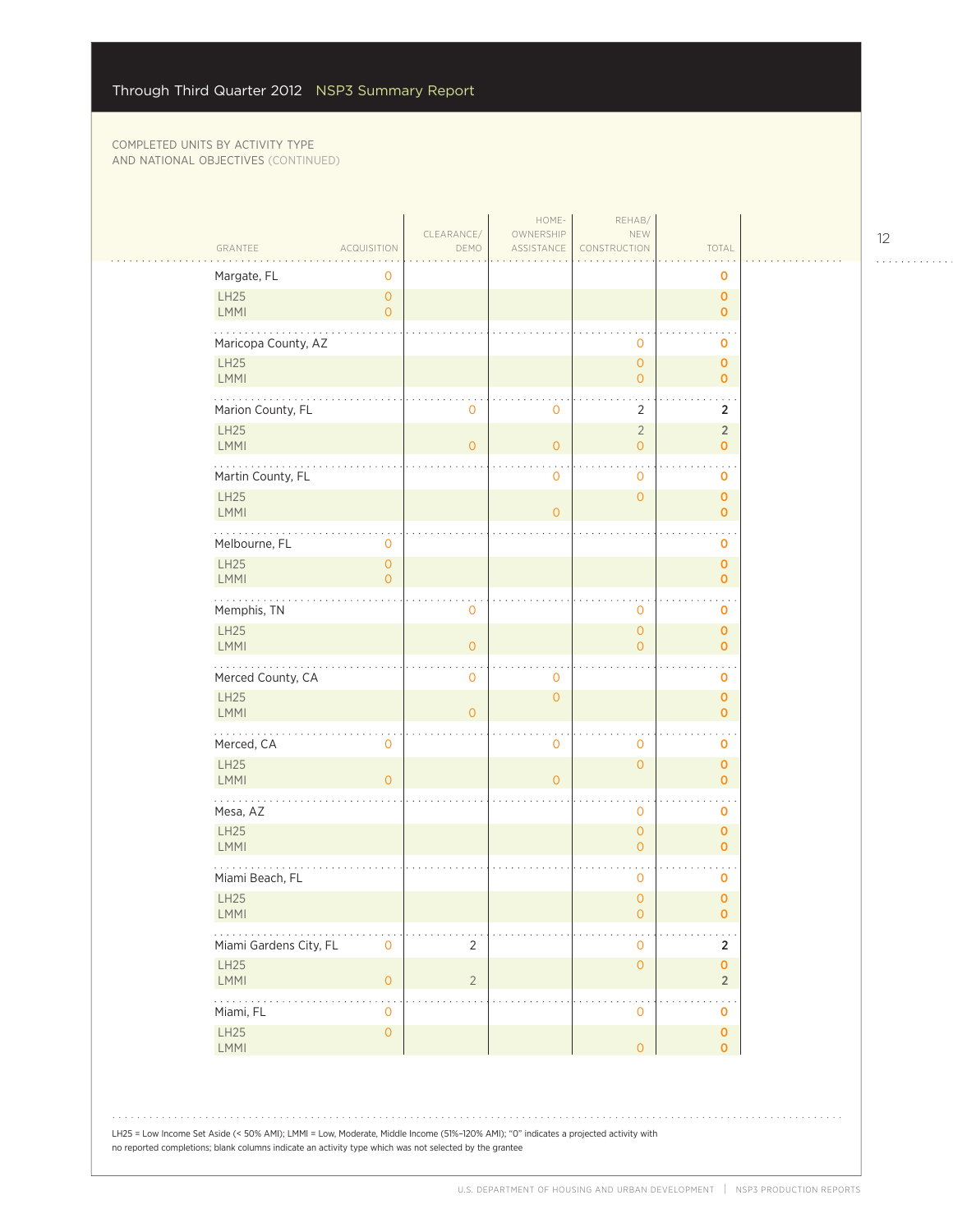| GRANTEE<br>ASSISTANCE<br>TOTAL<br>ACQUISITION<br>DEMO<br>CONSTRUCTION<br>Margate, FL<br>$\mathbf 0$<br>0<br>LH25<br>$\mathsf{O}\xspace$<br>$\mathbf 0$<br>LMMI<br>$\overline{O}$<br>$\mathbf{O}$<br>Maricopa County, AZ<br>$\mathbf 0$<br>$\mathbf 0$<br><b>LH25</b><br>$\overline{O}$<br>$\mathbf{O}$<br>LMMI<br>$\overline{O}$<br>$\mathbf{O}$<br>Marion County, FL<br>$\overline{2}$<br>$\mathbf 0$<br>$\overline{2}$<br>0<br>LH25<br>$\sqrt{2}$<br>$\overline{2}$<br><b>LMMI</b><br>$\overline{O}$<br>$\overline{O}$<br>$\overline{0}$<br>$\mathbf 0$<br>$\ddotsc$<br>Martin County, FL<br>$\mathbf 0$<br>0<br>$\mathbf 0$<br>LH25<br>$\overline{O}$<br>$\mathbf 0$<br><b>LMMI</b><br>$\overline{0}$<br>$\mathbf{0}$<br>Melbourne, FL<br>$\mathsf{O}\xspace$<br>$\mathbf 0$<br><b>LH25</b><br>$\overline{0}$<br>$\mathbf 0$<br><b>LMMI</b><br>$\overline{0}$<br>$\mathbf{O}$<br>.<br>Memphis, TN<br>$\mathbf 0$<br>0<br>$\mathbf 0$<br>LH25<br>$\overline{0}$<br>$\mathbf{O}$<br>LMMI<br>$\overline{O}$<br>$\overline{0}$<br>$\mathbf 0$<br>$\ddotsc$<br>Merced County, CA<br>$\mathbf 0$<br>$\mathbf 0$<br>$\mathbf 0$<br>LH25<br>$\circ$<br>$\mathbf 0$<br><b>LMMI</b><br>$\overline{O}$<br>$\mathbf{O}$<br>Merced, CA<br>$\mathbf 0$<br>$\mathbf 0$<br>$\mathbf 0$<br>$\mathbf 0$<br><b>LH25</b><br>$\overline{O}$<br>$\mathbf{O}$<br><b>LMMI</b><br>$\overline{0}$<br>$\overline{O}$<br>$\mathbf{O}$<br>Mesa, AZ<br>$\mathbf 0$<br>$\mathbf 0$<br>LH25<br>$\mathsf{O}\xspace$<br>$\mathbf{O}$<br>LMMI<br>$\overline{0}$<br>$\mathbf{0}$<br>Miami Beach, FL<br>0<br>0<br><b>LH25</b><br>$\overline{0}$<br>$\mathbf{O}$<br><b>LMMI</b><br>$\overline{O}$<br>0<br>Miami Gardens City, FL<br>$\mathbf 0$<br>$\overline{2}$<br>$\mathsf{O}\xspace$<br>$\overline{2}$<br>LH25<br>$\mathsf{O}\xspace$<br>$\pmb{0}$ |
|---------------------------------------------------------------------------------------------------------------------------------------------------------------------------------------------------------------------------------------------------------------------------------------------------------------------------------------------------------------------------------------------------------------------------------------------------------------------------------------------------------------------------------------------------------------------------------------------------------------------------------------------------------------------------------------------------------------------------------------------------------------------------------------------------------------------------------------------------------------------------------------------------------------------------------------------------------------------------------------------------------------------------------------------------------------------------------------------------------------------------------------------------------------------------------------------------------------------------------------------------------------------------------------------------------------------------------------------------------------------------------------------------------------------------------------------------------------------------------------------------------------------------------------------------------------------------------------------------------------------------------------------------------------------------------------------------------------------------------------------------------------------------------------------------------------------|
|                                                                                                                                                                                                                                                                                                                                                                                                                                                                                                                                                                                                                                                                                                                                                                                                                                                                                                                                                                                                                                                                                                                                                                                                                                                                                                                                                                                                                                                                                                                                                                                                                                                                                                                                                                                                                     |
|                                                                                                                                                                                                                                                                                                                                                                                                                                                                                                                                                                                                                                                                                                                                                                                                                                                                                                                                                                                                                                                                                                                                                                                                                                                                                                                                                                                                                                                                                                                                                                                                                                                                                                                                                                                                                     |
|                                                                                                                                                                                                                                                                                                                                                                                                                                                                                                                                                                                                                                                                                                                                                                                                                                                                                                                                                                                                                                                                                                                                                                                                                                                                                                                                                                                                                                                                                                                                                                                                                                                                                                                                                                                                                     |
|                                                                                                                                                                                                                                                                                                                                                                                                                                                                                                                                                                                                                                                                                                                                                                                                                                                                                                                                                                                                                                                                                                                                                                                                                                                                                                                                                                                                                                                                                                                                                                                                                                                                                                                                                                                                                     |
|                                                                                                                                                                                                                                                                                                                                                                                                                                                                                                                                                                                                                                                                                                                                                                                                                                                                                                                                                                                                                                                                                                                                                                                                                                                                                                                                                                                                                                                                                                                                                                                                                                                                                                                                                                                                                     |
|                                                                                                                                                                                                                                                                                                                                                                                                                                                                                                                                                                                                                                                                                                                                                                                                                                                                                                                                                                                                                                                                                                                                                                                                                                                                                                                                                                                                                                                                                                                                                                                                                                                                                                                                                                                                                     |
|                                                                                                                                                                                                                                                                                                                                                                                                                                                                                                                                                                                                                                                                                                                                                                                                                                                                                                                                                                                                                                                                                                                                                                                                                                                                                                                                                                                                                                                                                                                                                                                                                                                                                                                                                                                                                     |
|                                                                                                                                                                                                                                                                                                                                                                                                                                                                                                                                                                                                                                                                                                                                                                                                                                                                                                                                                                                                                                                                                                                                                                                                                                                                                                                                                                                                                                                                                                                                                                                                                                                                                                                                                                                                                     |
|                                                                                                                                                                                                                                                                                                                                                                                                                                                                                                                                                                                                                                                                                                                                                                                                                                                                                                                                                                                                                                                                                                                                                                                                                                                                                                                                                                                                                                                                                                                                                                                                                                                                                                                                                                                                                     |
|                                                                                                                                                                                                                                                                                                                                                                                                                                                                                                                                                                                                                                                                                                                                                                                                                                                                                                                                                                                                                                                                                                                                                                                                                                                                                                                                                                                                                                                                                                                                                                                                                                                                                                                                                                                                                     |
|                                                                                                                                                                                                                                                                                                                                                                                                                                                                                                                                                                                                                                                                                                                                                                                                                                                                                                                                                                                                                                                                                                                                                                                                                                                                                                                                                                                                                                                                                                                                                                                                                                                                                                                                                                                                                     |
|                                                                                                                                                                                                                                                                                                                                                                                                                                                                                                                                                                                                                                                                                                                                                                                                                                                                                                                                                                                                                                                                                                                                                                                                                                                                                                                                                                                                                                                                                                                                                                                                                                                                                                                                                                                                                     |
|                                                                                                                                                                                                                                                                                                                                                                                                                                                                                                                                                                                                                                                                                                                                                                                                                                                                                                                                                                                                                                                                                                                                                                                                                                                                                                                                                                                                                                                                                                                                                                                                                                                                                                                                                                                                                     |
|                                                                                                                                                                                                                                                                                                                                                                                                                                                                                                                                                                                                                                                                                                                                                                                                                                                                                                                                                                                                                                                                                                                                                                                                                                                                                                                                                                                                                                                                                                                                                                                                                                                                                                                                                                                                                     |
|                                                                                                                                                                                                                                                                                                                                                                                                                                                                                                                                                                                                                                                                                                                                                                                                                                                                                                                                                                                                                                                                                                                                                                                                                                                                                                                                                                                                                                                                                                                                                                                                                                                                                                                                                                                                                     |
|                                                                                                                                                                                                                                                                                                                                                                                                                                                                                                                                                                                                                                                                                                                                                                                                                                                                                                                                                                                                                                                                                                                                                                                                                                                                                                                                                                                                                                                                                                                                                                                                                                                                                                                                                                                                                     |
|                                                                                                                                                                                                                                                                                                                                                                                                                                                                                                                                                                                                                                                                                                                                                                                                                                                                                                                                                                                                                                                                                                                                                                                                                                                                                                                                                                                                                                                                                                                                                                                                                                                                                                                                                                                                                     |
|                                                                                                                                                                                                                                                                                                                                                                                                                                                                                                                                                                                                                                                                                                                                                                                                                                                                                                                                                                                                                                                                                                                                                                                                                                                                                                                                                                                                                                                                                                                                                                                                                                                                                                                                                                                                                     |
|                                                                                                                                                                                                                                                                                                                                                                                                                                                                                                                                                                                                                                                                                                                                                                                                                                                                                                                                                                                                                                                                                                                                                                                                                                                                                                                                                                                                                                                                                                                                                                                                                                                                                                                                                                                                                     |
|                                                                                                                                                                                                                                                                                                                                                                                                                                                                                                                                                                                                                                                                                                                                                                                                                                                                                                                                                                                                                                                                                                                                                                                                                                                                                                                                                                                                                                                                                                                                                                                                                                                                                                                                                                                                                     |
|                                                                                                                                                                                                                                                                                                                                                                                                                                                                                                                                                                                                                                                                                                                                                                                                                                                                                                                                                                                                                                                                                                                                                                                                                                                                                                                                                                                                                                                                                                                                                                                                                                                                                                                                                                                                                     |
|                                                                                                                                                                                                                                                                                                                                                                                                                                                                                                                                                                                                                                                                                                                                                                                                                                                                                                                                                                                                                                                                                                                                                                                                                                                                                                                                                                                                                                                                                                                                                                                                                                                                                                                                                                                                                     |
|                                                                                                                                                                                                                                                                                                                                                                                                                                                                                                                                                                                                                                                                                                                                                                                                                                                                                                                                                                                                                                                                                                                                                                                                                                                                                                                                                                                                                                                                                                                                                                                                                                                                                                                                                                                                                     |
| LMMI<br>$\mathsf{O}\xspace$<br>$\overline{2}$<br>$\overline{2}$                                                                                                                                                                                                                                                                                                                                                                                                                                                                                                                                                                                                                                                                                                                                                                                                                                                                                                                                                                                                                                                                                                                                                                                                                                                                                                                                                                                                                                                                                                                                                                                                                                                                                                                                                     |
| 1.1.1.1.1<br>$\cdot$<br>$\ddotsc$<br>Miami, FL<br>$\mathbf 0$<br>$\mathbf 0$<br>0                                                                                                                                                                                                                                                                                                                                                                                                                                                                                                                                                                                                                                                                                                                                                                                                                                                                                                                                                                                                                                                                                                                                                                                                                                                                                                                                                                                                                                                                                                                                                                                                                                                                                                                                   |
| LH25<br>$\mathsf O$<br>$\mathbf 0$<br>LMMI<br>$\overline{O}$<br>$\mathbf{O}$                                                                                                                                                                                                                                                                                                                                                                                                                                                                                                                                                                                                                                                                                                                                                                                                                                                                                                                                                                                                                                                                                                                                                                                                                                                                                                                                                                                                                                                                                                                                                                                                                                                                                                                                        |

12

. . . . . . . . . . . .

no reported completions; blank columns indicate an activity type which was not selected by the grantee

U.S. DEPARTMENT OF HOUSING AND URBAN DEVELOPMENT | NSP3 PRODUCTION REPORTS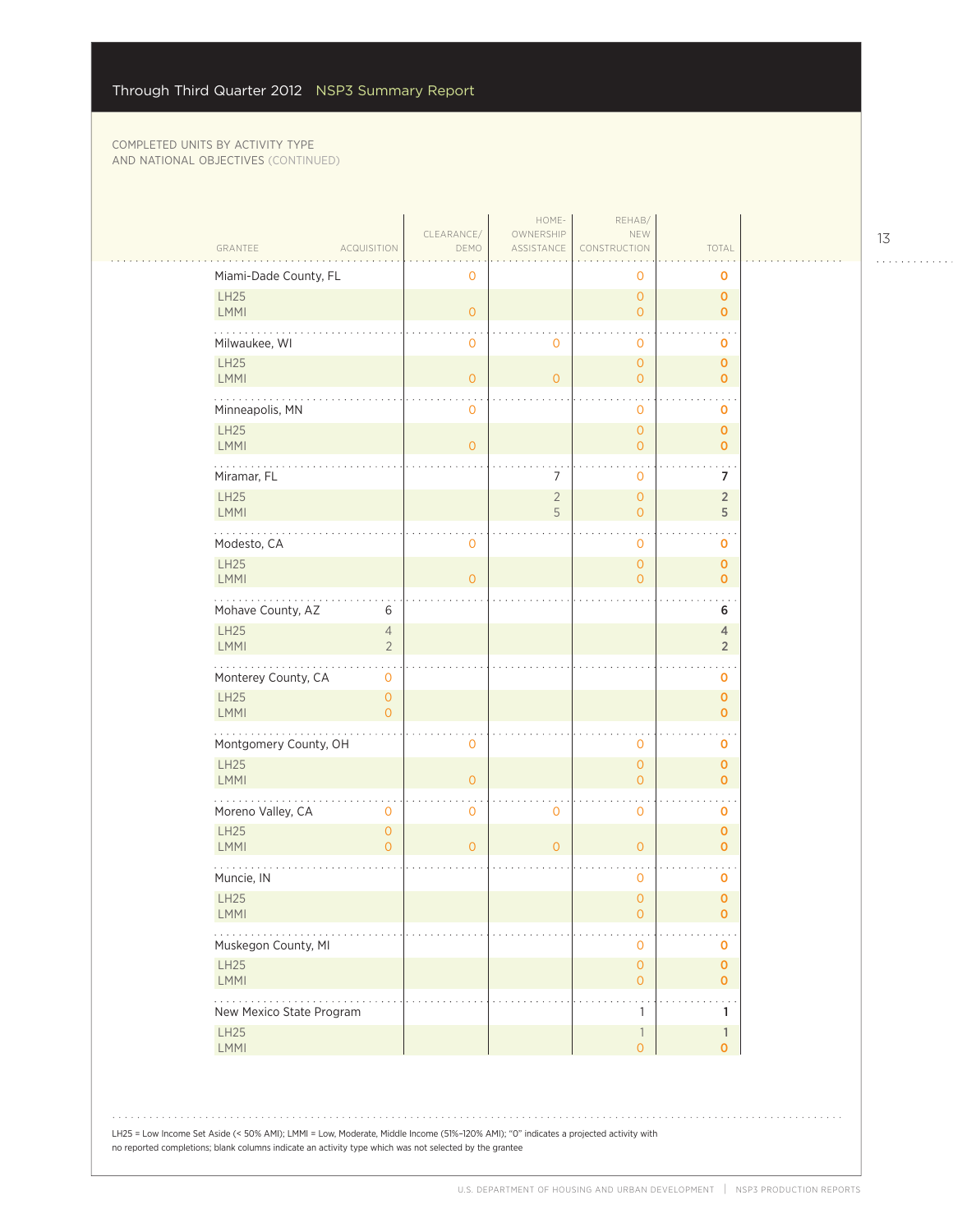$\mathcal{L}_{\mathcal{A}}$ 

| GRANTEE                    | <b>ACQUISITION</b>                    | CLEARANCE/<br>DEMO  | HOME-<br>OWNERSHIP<br>ASSISTANCE | REHAB/<br>NEW<br>CONSTRUCTION              | TOTAL                            |  |
|----------------------------|---------------------------------------|---------------------|----------------------------------|--------------------------------------------|----------------------------------|--|
| Miami-Dade County, FL      |                                       | $\mathbf 0$         |                                  | 0                                          | $\mathbf 0$                      |  |
| LH25<br><b>LMMI</b>        |                                       | $\mathsf{O}\xspace$ |                                  | $\overline{O}$<br>$\overline{O}$           | $\mathbf{O}$<br>$\mathbf{0}$     |  |
| Milwaukee, WI              |                                       | $\mathbf 0$         | $\mathbf 0$                      | 0                                          | 0                                |  |
| LH25<br>LMMI               |                                       | $\mathsf{O}\xspace$ | $\overline{O}$                   | $\overline{0}$<br>$\overline{0}$           | $\mathbf{O}$<br>$\overline{O}$   |  |
| .<br>Minneapolis, MN       |                                       | $\mathbf 0$         |                                  | 0                                          | $\mathbf 0$                      |  |
| LH25<br>LMMI               |                                       | $\overline{0}$      |                                  | $\overline{0}$<br>$\overline{O}$           | $\mathbf{O}$<br>$\overline{0}$   |  |
| Miramar, FL                |                                       |                     | 7                                | $\mathbf 0$                                | 7                                |  |
| LH25<br><b>LMMI</b>        |                                       |                     | $\overline{2}$<br>5              | $\overline{O}$<br>$\overline{O}$           | $\overline{2}$<br>5              |  |
| Modesto, CA                |                                       | $\mathbf 0$         |                                  | 0                                          | 0                                |  |
| LH25<br>LMMI               |                                       | $\overline{0}$      |                                  | $\overline{0}$<br>$\mathbf 0$              | $\mathbf{O}$<br>$\mathbf{O}$     |  |
| Mohave County, AZ          | 6                                     |                     |                                  |                                            | 6                                |  |
| LH25<br>LMMI               | $\sqrt{4}$<br>$\overline{2}$          |                     |                                  |                                            | $\overline{4}$<br>$\overline{2}$ |  |
| Monterey County, CA        | $\mathsf O$                           |                     |                                  |                                            | $\sim$<br>$\mathbf 0$            |  |
| LH25<br><b>LMMI</b>        | $\mathsf O$<br>$\overline{O}$         |                     |                                  |                                            | $\mathbf 0$<br>$\overline{O}$    |  |
| .<br>Montgomery County, OH |                                       | $\mathbf 0$         |                                  | 0                                          | 0                                |  |
| LH25<br>LMMI               |                                       | $\overline{0}$      |                                  | $\overline{0}$<br>$\overline{O}$           | $\mathbf{O}$<br>$\mathbf{O}$     |  |
| Moreno Valley, CA          | $\mathbf 0$                           | $\mathbf 0$         | $\mathbf 0$                      | 0                                          | $\mathbf 0$                      |  |
| LH25<br>LMMI               | $\mathsf{O}\xspace$<br>$\overline{O}$ | $\overline{0}$      | $\overline{O}$                   | $\overline{O}$                             | $\mathbf{O}$<br>$\overline{0}$   |  |
| Muncie, IN                 |                                       |                     |                                  | $\mathbf 0$                                | $\mathbf 0$                      |  |
| LH25<br><b>LMMI</b>        |                                       |                     |                                  | $\overline{0}$<br>0                        | $\mathbf 0$<br>0                 |  |
| Muskegon County, MI        |                                       |                     |                                  | 0                                          | 0                                |  |
| LH25<br>LMMI               |                                       |                     |                                  | $\mathsf{O}\xspace$<br>$\overline{O}$      | $\mathbf{O}$<br>$\mathbf{0}$     |  |
| New Mexico State Program   |                                       |                     |                                  | 1                                          | $\mathbf{1}$                     |  |
| LH25<br><b>LMMI</b>        |                                       |                     |                                  | $\overline{\phantom{a}}$<br>$\overline{O}$ | $\mathbf{1}$<br>$\overline{0}$   |  |
|                            |                                       |                     |                                  |                                            |                                  |  |

13 . . . . . . . . . . . .

LH25 = Low Income Set Aside (< 50% AMI); LMMI = Low, Moderate, Middle Income (51%–120% AMI); "0" indicates a projected activity with no reported completions; blank columns indicate an activity type which was not selected by the grantee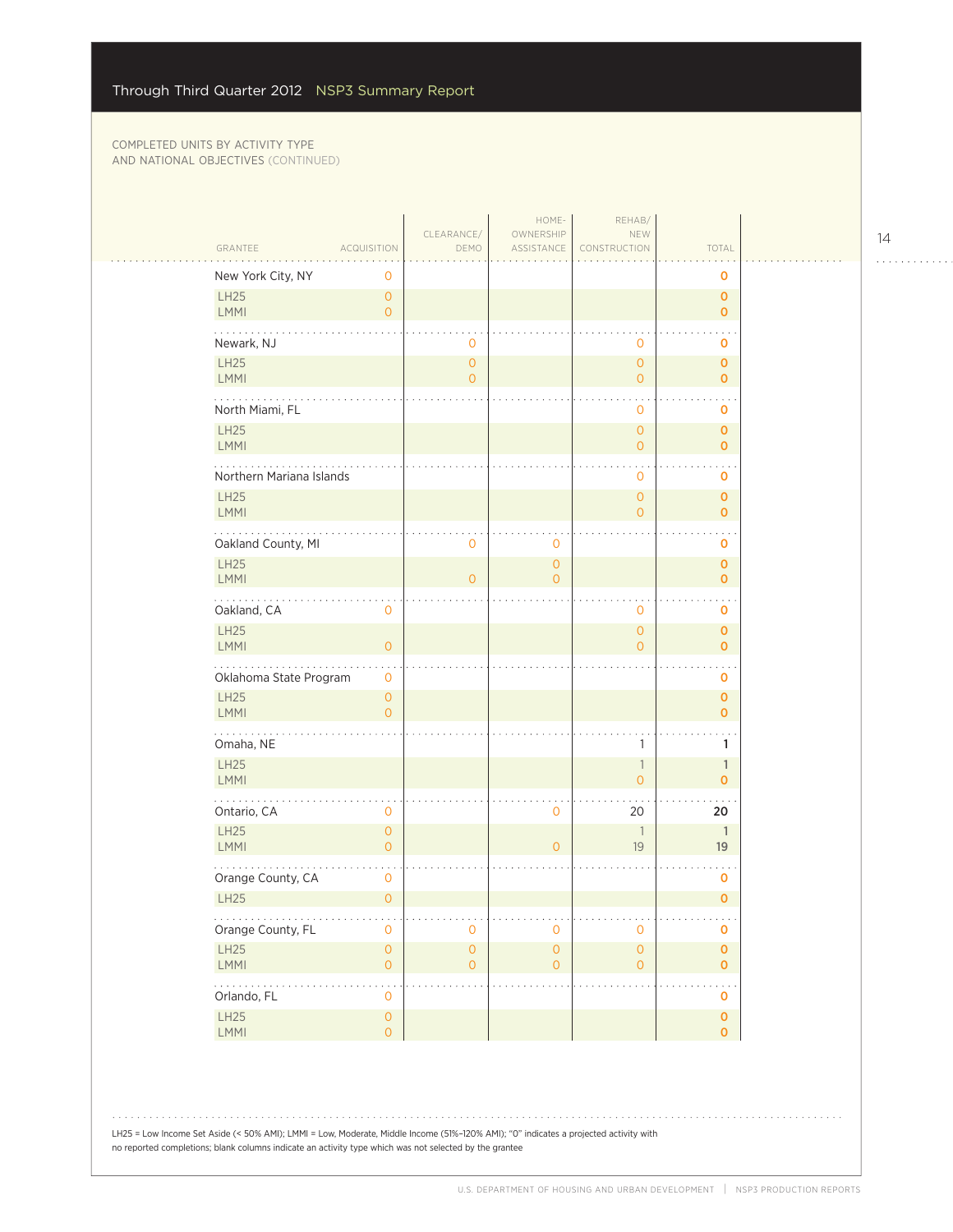$\mathcal{L}_{\mathcal{A}}$ 

| GRANTEE<br><b>ACQUISITION</b><br>New York City, NY<br>0        | CLEARANCE/<br>DEMO             | OWNERSHIP<br>ASSISTANCE               | NEW<br>CONSTRUCTION                        | TOTAL                       |  |
|----------------------------------------------------------------|--------------------------------|---------------------------------------|--------------------------------------------|-----------------------------|--|
|                                                                |                                |                                       |                                            |                             |  |
|                                                                |                                |                                       |                                            | 0                           |  |
| <b>LH25</b><br>$\circ$<br>LMMI<br>$\overline{O}$               |                                |                                       |                                            | $\mathbf 0$<br>$\mathbf 0$  |  |
| Newark, NJ                                                     | $\mathbf 0$                    |                                       | $\mathbf 0$                                | o                           |  |
| LH25<br><b>LMMI</b>                                            | $\mathsf{O}$<br>$\overline{O}$ |                                       | $\mathsf{O}\xspace$<br>$\overline{O}$      | $\pmb{0}$<br>$\mathbf 0$    |  |
| North Miami, FL                                                |                                |                                       | $\mathbf 0$                                | 0                           |  |
| <b>LH25</b><br>LMMI                                            |                                |                                       | $\overline{O}$<br>$\overline{O}$           | $\mathbf 0$<br>$\mathbf 0$  |  |
| Northern Mariana Islands                                       |                                |                                       | $\mathbf 0$                                | o                           |  |
| <b>LH25</b><br>LMMI                                            |                                |                                       | $\mathbf{O}$<br>$\overline{O}$             | $\mathbf 0$<br>$\mathbf 0$  |  |
| Oakland County, MI                                             | $\overline{0}$                 | $\mathbf 0$                           |                                            | o                           |  |
| <b>LH25</b><br><b>LMMI</b>                                     | $\overline{O}$                 | $\mathsf{O}\xspace$<br>$\overline{O}$ |                                            | $\pmb{0}$<br>$\mathbf 0$    |  |
| .<br>Oakland, CA<br>$\mathbf 0$                                |                                |                                       | $\mathbf 0$                                | $\ddot{\phantom{0}}$<br>0   |  |
| <b>LH25</b><br>LMMI<br>$\overline{O}$                          |                                |                                       | $\mathbf{O}$<br>$\overline{O}$             | $\mathbf 0$<br>$\mathbf 0$  |  |
| Oklahoma State Program<br>$\mathbf 0$                          |                                |                                       |                                            | o                           |  |
| <b>LH25</b><br>$\overline{O}$<br><b>LMMI</b><br>$\Omega$       |                                |                                       |                                            | $\mathbf 0$<br>$\mathbf 0$  |  |
| .<br>Omaha, NE                                                 |                                |                                       | 1                                          | 1                           |  |
| LH25<br><b>LMMI</b>                                            |                                |                                       | $\overline{\phantom{a}}$<br>$\overline{O}$ | $\mathbf{1}$<br>$\mathbf 0$ |  |
| Ontario, CA<br>$\mathbf 0$                                     |                                | $\mathbf 0$                           | 20                                         | 20                          |  |
| <b>LH25</b><br>$\overline{0}$<br><b>LMMI</b><br>$\overline{O}$ |                                | $\overline{O}$                        | $\overline{\phantom{a}}$<br>19             | $\mathbf{1}$<br>19          |  |
| Orange County, CA<br>0                                         |                                |                                       |                                            | 0                           |  |
| <b>LH25</b><br>$\overline{O}$                                  |                                |                                       |                                            | $\mathbf 0$                 |  |
| .<br>Orange County, FL<br>$\mathbf 0$                          | $\mathbf 0$                    | $\mathbf 0$                           | $\mathbf 0$                                | $\mathbf 0$                 |  |
| <b>LH25</b><br>$\mathsf{O}\xspace$<br>LMMI<br>$\circ$          | $\mathsf{O}$<br>$\mathbf{O}$   | $\circ$<br>$\overline{O}$             | $\mathsf{O}\xspace$<br>$\overline{0}$      | $\mathbf 0$<br>$\mathbf 0$  |  |
| 1999-1999<br>Orlando, FL<br>0                                  |                                |                                       |                                            | o                           |  |
| LH25<br>$\mathsf{O}\xspace$<br>LMMI<br>$\overline{O}$          |                                |                                       |                                            | $\pmb{0}$<br>$\mathbf{O}$   |  |

LH25 = Low Income Set Aside (< 50% AMI); LMMI = Low, Moderate, Middle Income (51%–120% AMI); "0" indicates a projected activity with no reported completions; blank columns indicate an activity type which was not selected by the grantee

14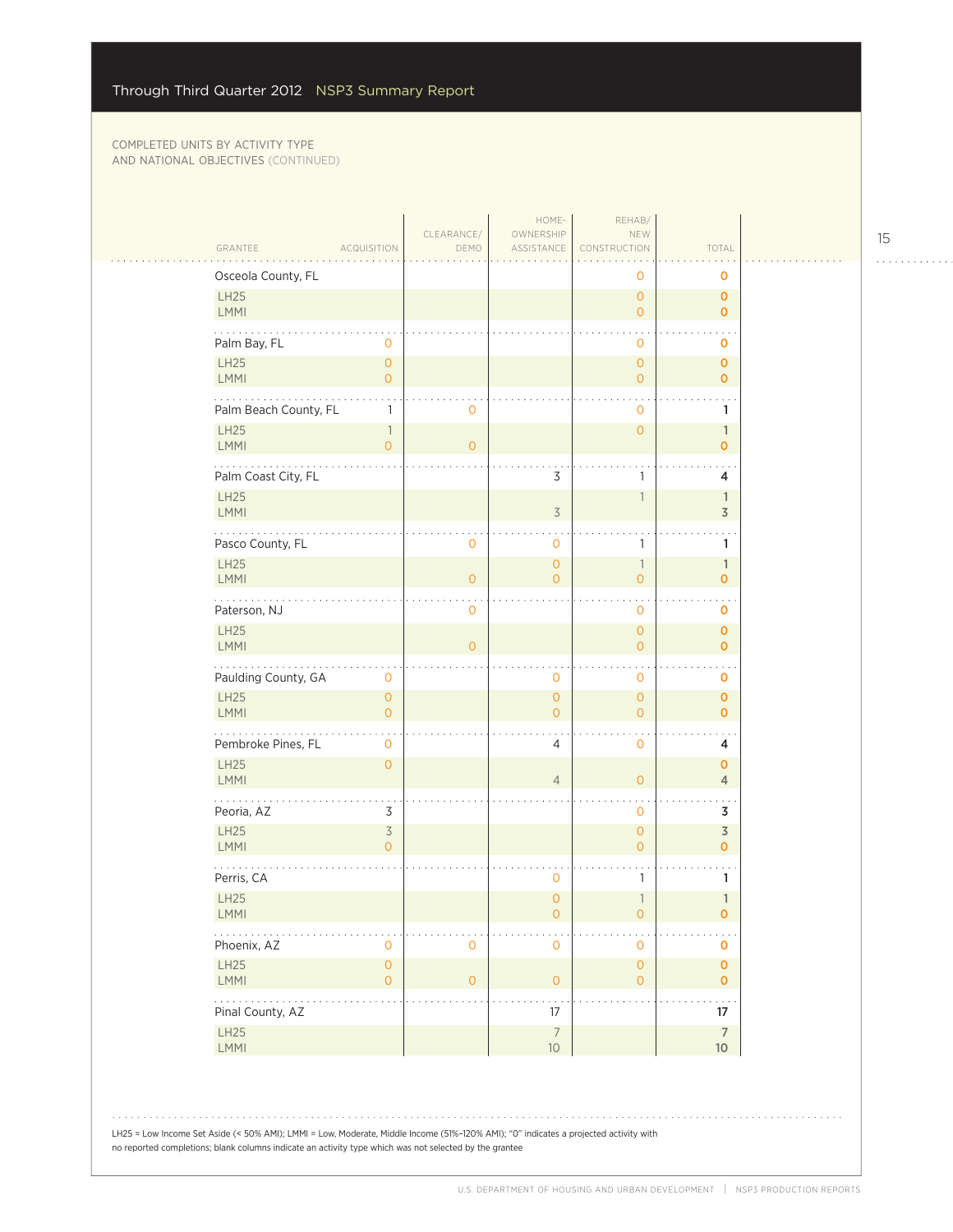| GRANTEE                      | <b>ACQUISITION</b>                         | CLEARANCE/<br>DEMO | HOME-<br>OWNERSHIP<br>ASSISTANCE | REHAB/<br>NEW<br>CONSTRUCTION      | TOTAL                          |  |
|------------------------------|--------------------------------------------|--------------------|----------------------------------|------------------------------------|--------------------------------|--|
| Osceola County, FL           |                                            |                    |                                  | 0                                  | O                              |  |
| LH25<br>LMMI                 |                                            |                    |                                  | $\mathbf 0$<br>$\mathbf{O}$        | $\mathbf 0$<br>$\mathbf{O}$    |  |
| Palm Bay, FL                 | $\circ$                                    |                    |                                  | $\mathbf 0$                        | 0                              |  |
| LH25<br><b>LMMI</b>          | $\mathbf{O}$<br>$\overline{O}$             |                    |                                  | $\overline{0}$<br>$\overline{0}$   | $\mathbf 0$<br>$\mathbf 0$     |  |
| Palm Beach County, FL        | 1                                          | $\mathbf 0$        |                                  | 0                                  | 1                              |  |
| <b>LH25</b><br><b>LMMI</b>   | $\overline{\phantom{a}}$<br>$\overline{O}$ | $\overline{O}$     |                                  | $\overline{0}$                     | $\mathbb{1}$<br>$\mathbf{O}$   |  |
| Palm Coast City, FL          |                                            |                    | 3                                | 1                                  | 4                              |  |
| <b>LH25</b><br><b>LMMI</b>   |                                            |                    | $\overline{3}$                   | 1                                  | $\mathbf{1}$<br>3              |  |
| Pasco County, FL             |                                            | $\mathbf 0$        | 0                                | 1                                  | 1                              |  |
| LH25<br><b>LMMI</b>          |                                            | $\overline{0}$     | $\overline{0}$<br>$\overline{0}$ | $\mathbb{1}$<br>$\overline{0}$     | $\mathbb{1}$<br>$\mathbf 0$    |  |
| Paterson, NJ                 |                                            | $\mathbf 0$        |                                  | $\mathbf 0$                        | O                              |  |
| LH25<br><b>LMMI</b>          |                                            | $\overline{O}$     |                                  | $\overline{0}$<br>$\overline{O}$   | $\mathbf 0$<br>$\mathbf{O}$    |  |
| Paulding County, GA          | $\mathbf 0$                                |                    | $\mathbf 0$                      | $\blacksquare$<br>$\mathbf 0$      | O                              |  |
| <b>LH25</b><br><b>LMMI</b>   | $\mathbf{O}$<br>$\overline{O}$             |                    | $\mathbf 0$<br>$\overline{0}$    | $\overline{0}$<br>$\overline{O}$   | $\mathbf 0$<br>$\mathbf{O}$    |  |
| .<br>Pembroke Pines, FL      | 0                                          |                    | 4                                | $\mathbf 0$                        | 4                              |  |
| LH25<br><b>LMMI</b>          | $\overline{O}$                             |                    | $\overline{4}$                   | $\overline{0}$                     | $\mathbf{O}$<br>$\overline{4}$ |  |
| Peoria, AZ                   | 3                                          |                    |                                  | $\mathbf 0$                        | 3                              |  |
| <b>LH25</b><br>LMMI          | 3<br>$\Omega$                              |                    |                                  | $\overline{0}$<br>$\overline{O}$   | $\overline{3}$<br>$\mathbf{O}$ |  |
| Perris, CA                   |                                            |                    | 0                                | 1                                  | 1                              |  |
| <b>LH25</b><br><b>LMMI</b>   |                                            |                    | $\overline{0}$<br>0              | 1<br>0                             | $\mathbf{1}$<br>0              |  |
| Phoenix, AZ                  | $\mathbf 0$                                | $\mathbf 0$        | 0                                | $\mathbf 0$                        | 0                              |  |
| LH25<br><b>LMMI</b>          | $\mathbf 0$<br>$\overline{0}$              | $\mathbf{O}$       | $\mathsf{O}\xspace$              | $\mathsf O$<br>$\mathsf{O}\xspace$ | $\mathbf 0$<br>$\mathbf 0$     |  |
| $\ldots$<br>Pinal County, AZ |                                            |                    | 17                               |                                    | $\ddotsc$<br>17                |  |
| LH25                         |                                            |                    | $\boldsymbol{7}$                 |                                    | $\boldsymbol{7}$               |  |
| LMMI                         |                                            |                    | $10$                             |                                    | $10$                           |  |

15

. . . . . . . . . . . .

 $\sim$  .  $\sim$ 

 $\bar{\psi}$  ,  $\bar{\psi}$ 

U.S. DEPARTMENT OF HOUSING AND URBAN DEVELOPMENT | NSP3 PRODUCTION REPORTS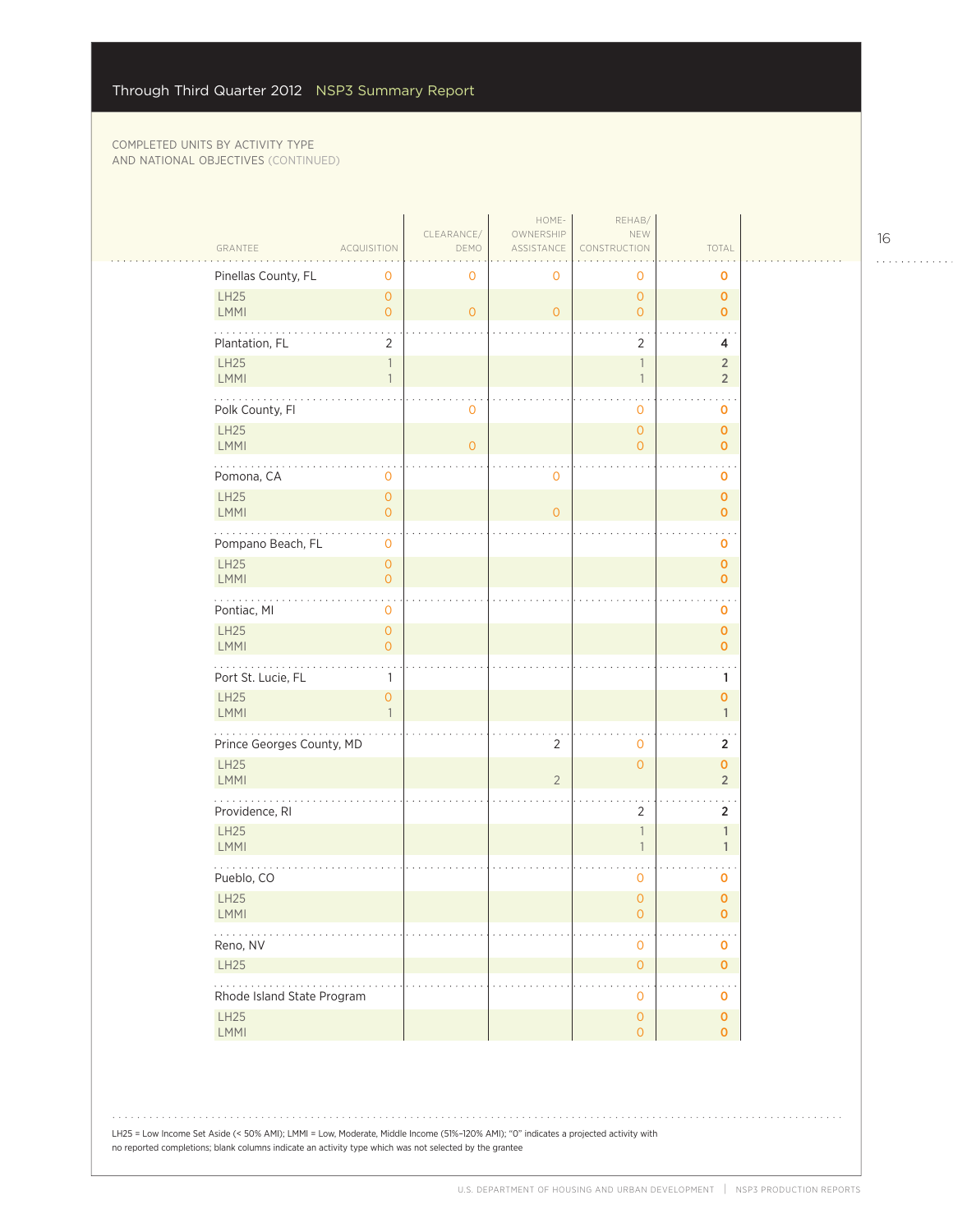$\sim$  .

|                                                                          |                                       | CLEARANCE/     | HOME-<br>OWNERSHIP | REHAB/<br>NEW                              |                                      |  |
|--------------------------------------------------------------------------|---------------------------------------|----------------|--------------------|--------------------------------------------|--------------------------------------|--|
| GRANTEE<br><b>ACQUISITION</b>                                            |                                       | DEMO           | ASSISTANCE         | CONSTRUCTION                               | TOTAL                                |  |
| Pinellas County, FL                                                      | $\mathbf 0$                           | 0              | 0                  | 0                                          | 0                                    |  |
| LH25<br>LMMI                                                             | $\overline{O}$<br>$\circ$             | $\overline{O}$ | $\overline{0}$     | $\circ$<br>$\overline{0}$                  | $\mathbf 0$<br>$\mathbf{o}$          |  |
| Plantation, FL                                                           | $\overline{2}$                        |                |                    | 2                                          | 4                                    |  |
| LH25                                                                     | 1                                     |                |                    | $\mathbf{1}$                               | $\overline{\mathbf{c}}$              |  |
| <b>LMMI</b>                                                              | $\mathbf{1}$                          |                |                    | $\mathbf{1}$                               | $\overline{2}$                       |  |
| Polk County, Fl                                                          |                                       | 0              |                    | $\mathbf 0$                                | o                                    |  |
| <b>LH25</b><br><b>LMMI</b>                                               |                                       | $\overline{O}$ |                    | $\overline{O}$<br>$\overline{O}$           | $\mathbf 0$<br>$\mathbf 0$           |  |
| Pomona, CA                                                               | $\mathbf 0$                           |                | 0                  |                                            | 0                                    |  |
| LH25<br><b>LMMI</b>                                                      | $\circ$<br>$\circ$                    |                | $\overline{0}$     |                                            | $\mathbf 0$<br>$\mathbf 0$           |  |
|                                                                          |                                       |                |                    |                                            |                                      |  |
| Pompano Beach, FL<br>LH25                                                | $\mathbf 0$<br>$\mathsf{O}\xspace$    |                |                    |                                            | 0<br>$\pmb{0}$                       |  |
| <b>LMMI</b>                                                              | $\overline{O}$                        |                |                    |                                            | $\mathbf 0$                          |  |
| .<br>Pontiac, MI                                                         | $\mathbf 0$                           |                |                    |                                            | $\mathbf 0$                          |  |
| LH25<br><b>LMMI</b>                                                      | $\mathsf{O}\xspace$<br>$\overline{O}$ |                |                    |                                            | $\mathbf 0$<br>$\mathbf 0$           |  |
| Port St. Lucie, FL                                                       | 1                                     |                |                    |                                            | 1                                    |  |
| LH25                                                                     | $\overline{O}$                        |                |                    |                                            | 0                                    |  |
| <b>LMMI</b>                                                              | $\mathbf{1}$                          |                |                    |                                            | $\mathbf{1}$                         |  |
| Prince Georges County, MD                                                |                                       |                | $\overline{2}$     | 0                                          | 2                                    |  |
| LH25<br><b>LMMI</b>                                                      |                                       |                | $\overline{2}$     | $\overline{O}$                             | $\pmb{\mathsf{O}}$<br>$\overline{2}$ |  |
| Providence, RI                                                           |                                       |                |                    | $\overline{2}$                             | $\overline{2}$                       |  |
| <b>LH25</b><br><b>LMMI</b>                                               |                                       |                |                    | $\mathbf{1}$<br>$\mathbf{1}$               | $\mathbf{1}$<br>$\mathbf{1}$         |  |
| Pueblo, CO                                                               |                                       |                |                    | 0                                          | 0                                    |  |
| LH25                                                                     |                                       |                |                    | $\overline{O}$                             | $\mathbf 0$                          |  |
| LMMI                                                                     |                                       |                |                    | $\overline{O}$                             | 0                                    |  |
| $\alpha$ , $\alpha$ , $\alpha$ , $\alpha$<br>Reno, NV                    |                                       |                |                    | $\mathbf 0$                                | $\mathbf 0$                          |  |
| LH25                                                                     |                                       |                |                    | $\mathsf{O}\xspace$                        | $\mathbf 0$                          |  |
| $\mathbb{Z}^2$ . The set of $\mathbb{Z}^2$<br>Rhode Island State Program |                                       |                |                    | $\mathbf 0$                                | o                                    |  |
| LH25<br>LMMI                                                             |                                       |                |                    | $\mathsf{O}\xspace$<br>$\mathsf{O}\xspace$ | $\pmb{\mathsf{O}}$<br>$\overline{O}$ |  |
|                                                                          |                                       |                |                    |                                            |                                      |  |

LH25 = Low Income Set Aside (< 50% AMI); LMMI = Low, Moderate, Middle Income (51%–120% AMI); "0" indicates a projected activity with no reported completions; blank columns indicate an activity type which was not selected by the grantee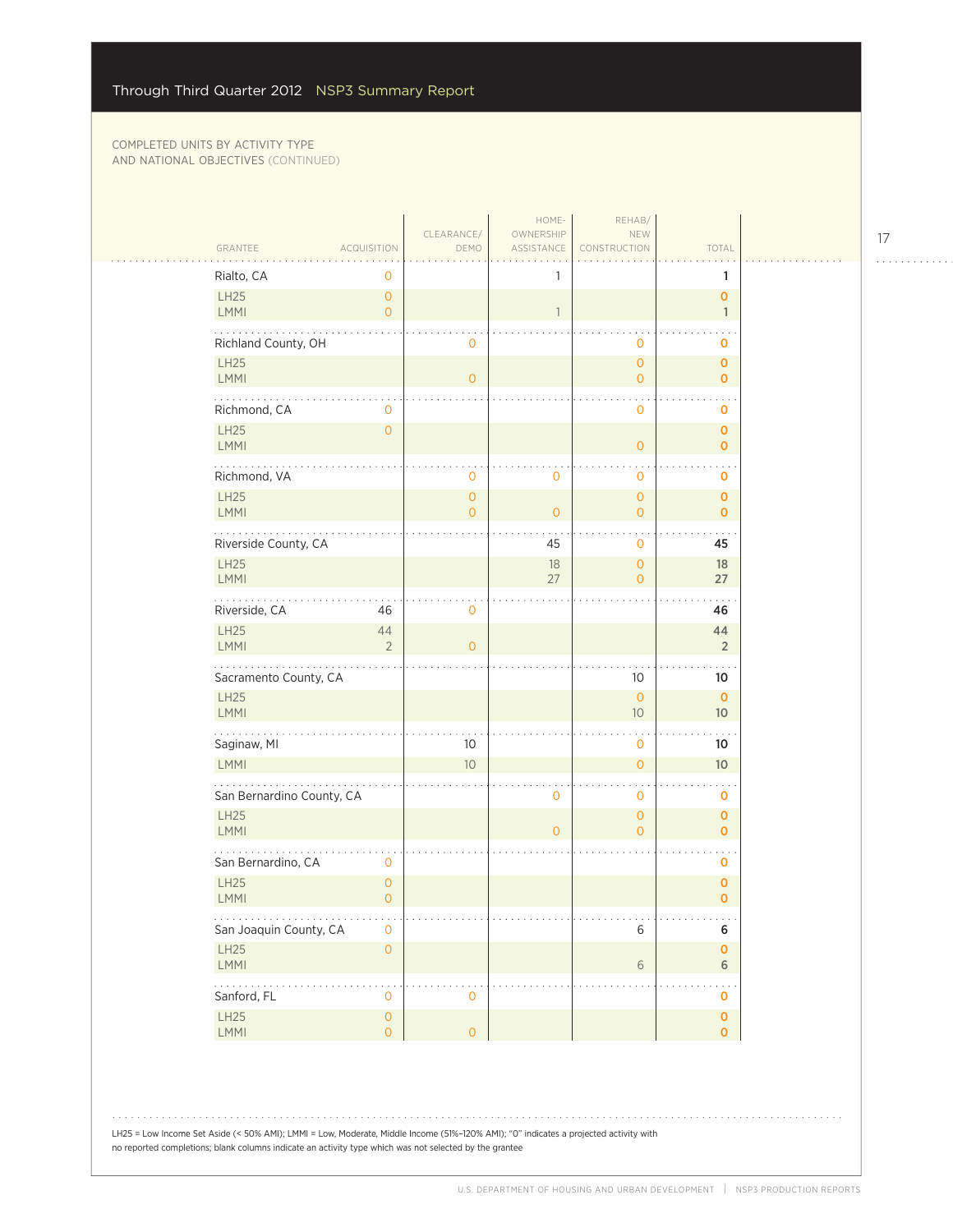$\sim$  . .

|                                       |                                       | CLEARANCE/          | HOME-<br>OWNERSHIP | REHAB/<br>NEW                  |                                      |  |
|---------------------------------------|---------------------------------------|---------------------|--------------------|--------------------------------|--------------------------------------|--|
| GRANTEE                               | <b>ACQUISITION</b>                    | DEMO                | ASSISTANCE         | CONSTRUCTION                   | TOTAL                                |  |
| Rialto, CA                            | 0                                     |                     | 1                  |                                | 1                                    |  |
| LH25<br>LMMI                          | $\mathsf{O}\xspace$<br>$\overline{O}$ |                     | $\overline{1}$     |                                | $\overline{0}$<br>$\mathbf{1}$       |  |
| Richland County, OH                   |                                       | 0                   |                    | $\circ$                        | 0                                    |  |
| <b>LH25</b>                           |                                       |                     |                    | $\mathbf{O}$                   | $\mathbf{O}$                         |  |
| <b>LMMI</b>                           |                                       | $\overline{0}$      |                    | $\overline{O}$                 | $\mathbf{O}$                         |  |
| .<br>Richmond, CA                     | 0                                     |                     |                    | $\circ$                        | O                                    |  |
| LH25<br><b>LMMI</b>                   | $\overline{O}$                        |                     |                    | $\overline{0}$                 | $\overline{O}$<br>$\mathbf{O}$       |  |
| Richmond, VA                          |                                       | 0                   | $\mathbf 0$        | $\mathbf 0$                    | 0                                    |  |
| <b>LH25</b><br><b>LMMI</b>            |                                       | $\overline{0}$<br>0 | $\circ$            | $\mathbf{O}$<br>$\overline{O}$ | $\overline{O}$<br>$\mathbf{O}$       |  |
| Riverside County, CA                  |                                       |                     | 45                 | $\mathbf 0$                    | 45                                   |  |
| <b>LH25</b>                           |                                       |                     | 18                 | $\circ$                        | 18                                   |  |
| <b>LMMI</b>                           |                                       |                     | 27                 | $\Omega$                       | 27                                   |  |
| $\sim$ $\sim$ $\sim$<br>Riverside, CA | 46                                    | 0                   |                    |                                | 46                                   |  |
| LH25<br><b>LMMI</b>                   | 44<br>$\overline{2}$                  | $\overline{O}$      |                    |                                | 44<br>$\overline{2}$                 |  |
| Sacramento County, CA                 |                                       |                     |                    | 10                             | 10                                   |  |
| <b>LH25</b>                           |                                       |                     |                    | $\overline{0}$                 | $\mathbf{0}$                         |  |
| LMMI                                  |                                       |                     |                    | 10                             | 10                                   |  |
| .<br>Saginaw, MI                      |                                       | 10                  |                    | $\mathbf 0$                    | 10                                   |  |
| <b>LMMI</b>                           |                                       | 10                  |                    | $\overline{O}$                 | 10 <sup>°</sup>                      |  |
| San Bernardino County, CA             |                                       |                     | $\mathbf 0$        | $\mathbf 0$                    | 0                                    |  |
| <b>LH25</b><br><b>LMMI</b>            |                                       |                     | $\overline{O}$     | $\circ$<br>$\Omega$            | $\overline{O}$<br>$\mathbf{o}$       |  |
| San Bernardino, CA                    | 0                                     |                     |                    |                                | 0                                    |  |
| <b>LH25</b><br>LMMI                   | $\mathsf{O}\xspace$<br>$\overline{0}$ |                     |                    |                                | $\pmb{\mathsf{O}}$<br>$\overline{0}$ |  |
|                                       |                                       |                     |                    | $\sim$                         | $\sim$ $\sim$                        |  |
| San Joaquin County, CA<br>LH25        | $\mathbf 0$<br>$\mathsf{O}\xspace$    |                     |                    | 6                              | 6<br>$\mathbf 0$                     |  |
| LMMI                                  |                                       |                     |                    | $6\,$                          | $\sqrt{6}$                           |  |
| 19999<br>Sanford, FL                  | $\overline{0}$                        | $\mathbf 0$         |                    |                                | 0                                    |  |
| LH25<br>LMMI                          | $\mathsf{O}\xspace$<br>$\overline{O}$ | $\mathsf{O}$        |                    |                                | $\mathbf 0$<br>$\mathbf{O}$          |  |
|                                       |                                       |                     |                    |                                |                                      |  |

LH25 = Low Income Set Aside (< 50% AMI); LMMI = Low, Moderate, Middle Income (51%–120% AMI); "0" indicates a projected activity with no reported completions; blank columns indicate an activity type which was not selected by the grantee

17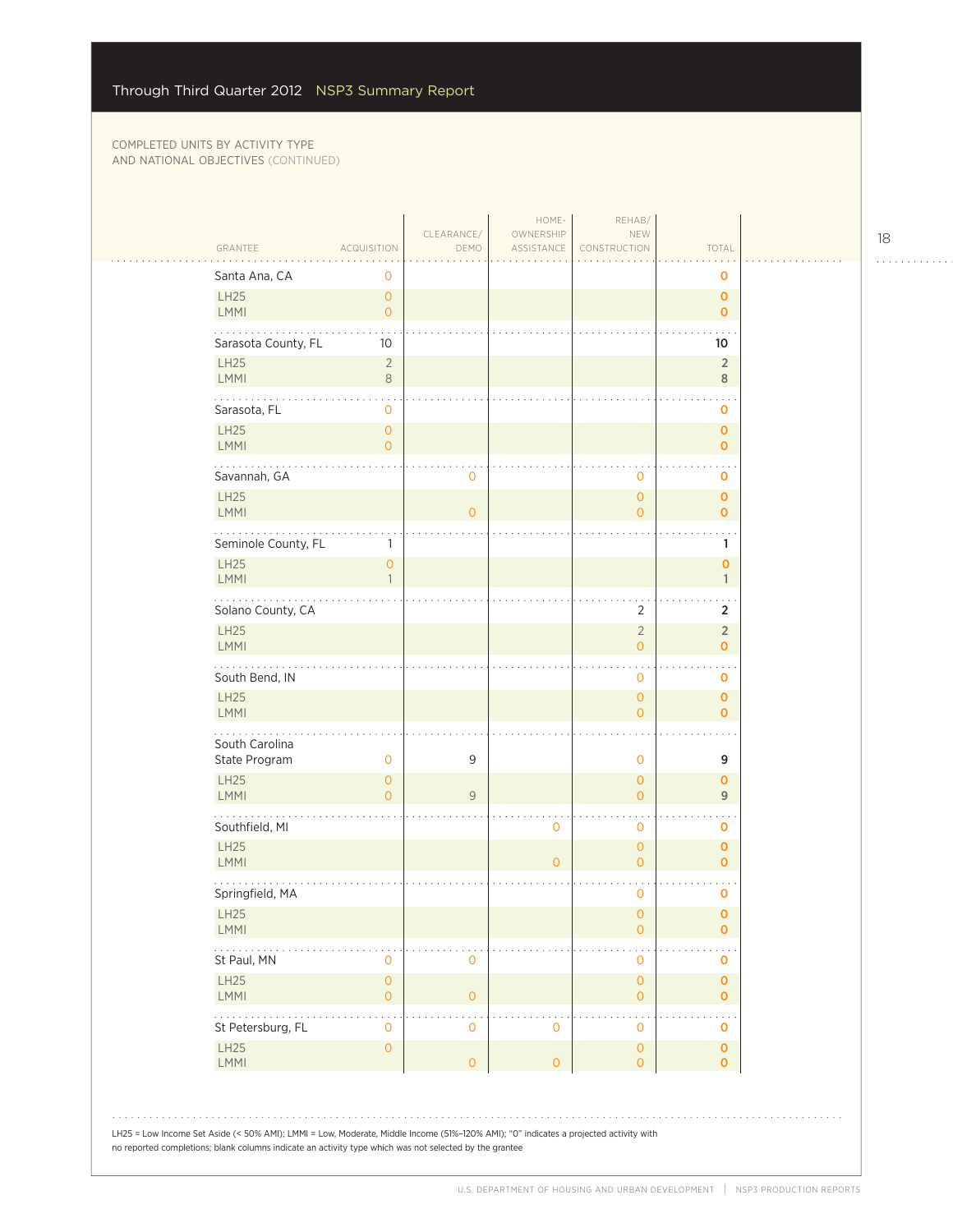| GRANTEE                                                                                                                                                                                                                                        | <b>ACQUISITION</b>                    | CLEARANCE/<br>DEMO  | HOME-<br>OWNERSHIP<br>ASSISTANCE | REHAB/<br>NEW<br>CONSTRUCTION              | TOTAL                          |  |
|------------------------------------------------------------------------------------------------------------------------------------------------------------------------------------------------------------------------------------------------|---------------------------------------|---------------------|----------------------------------|--------------------------------------------|--------------------------------|--|
| Santa Ana, CA                                                                                                                                                                                                                                  | 0                                     |                     |                                  |                                            | 0                              |  |
| LH25<br>LMMI                                                                                                                                                                                                                                   | $\overline{O}$<br>$\mathbf{O}$        |                     |                                  |                                            | $\mathbf{O}$<br>$\mathbf{o}$   |  |
| Sarasota County, FL                                                                                                                                                                                                                            | 10                                    |                     |                                  |                                            | 10                             |  |
| LH25<br>LMMI                                                                                                                                                                                                                                   | $\overline{c}$<br>$\,8\,$             |                     |                                  |                                            | $\sqrt{2}$<br>8                |  |
| Sarasota, FL                                                                                                                                                                                                                                   | $\mathbf 0$                           |                     |                                  |                                            | $\mathbf 0$                    |  |
| LH25<br><b>LMMI</b>                                                                                                                                                                                                                            | $\overline{O}$<br>$\overline{0}$      |                     |                                  |                                            | $\mathbf{O}$<br>$\mathbf 0$    |  |
| Savannah, GA                                                                                                                                                                                                                                   |                                       | 0                   |                                  | 0                                          | 0                              |  |
| <b>LH25</b><br>LMMI                                                                                                                                                                                                                            |                                       | $\overline{O}$      |                                  | $\circ$<br>$\overline{O}$                  | $\mathbf{O}$<br>$\mathbf 0$    |  |
| Seminole County, FL                                                                                                                                                                                                                            | 1                                     |                     |                                  |                                            | 1                              |  |
| <b>LH25</b><br><b>LMMI</b>                                                                                                                                                                                                                     | $\mathbf{O}$<br>$\mathbf{1}$          |                     |                                  |                                            | 0<br>$\mathbf{1}$              |  |
| Solano County, CA                                                                                                                                                                                                                              |                                       |                     |                                  | $\overline{2}$                             | $\overline{2}$                 |  |
| LH25<br><b>LMMI</b>                                                                                                                                                                                                                            |                                       |                     |                                  | $\overline{2}$<br>$\overline{O}$           | $\overline{2}$<br>$\mathbf{O}$ |  |
| South Bend, IN                                                                                                                                                                                                                                 |                                       |                     |                                  | $\mathsf{O}$                               | 0                              |  |
| LH25<br><b>LMMI</b>                                                                                                                                                                                                                            |                                       |                     |                                  | $\overline{O}$<br>$\overline{O}$           | $\mathbf 0$<br>$\mathbf{o}$    |  |
| South Carolina<br>State Program                                                                                                                                                                                                                | $\mathbf 0$                           | 9                   |                                  | $\overline{0}$                             | 9                              |  |
| <b>LH25</b><br>LMMI                                                                                                                                                                                                                            | $\mathsf{O}\xspace$<br>$\overline{0}$ | 9                   |                                  | $\overline{O}$<br>$\overline{O}$           | $\mathbf 0$<br>$\overline{9}$  |  |
| Southfield, MI                                                                                                                                                                                                                                 |                                       |                     | $\mathbf 0$                      | $\mathsf{O}$                               | 0                              |  |
| LH25<br><b>LMMI</b>                                                                                                                                                                                                                            |                                       |                     | $\overline{0}$                   | $\overline{O}$<br>$\mathsf O$              | $\mathbf 0$<br>$\mathbf{o}$    |  |
| Springfield, MA                                                                                                                                                                                                                                |                                       |                     |                                  | $\mathbf{0}$                               | o                              |  |
| LH25<br>LMMI                                                                                                                                                                                                                                   |                                       |                     |                                  | $\mathbf 0$<br>$\mathsf{O}\xspace$         | 0<br>$\overline{0}$            |  |
| St Paul, MN                                                                                                                                                                                                                                    | $\mathsf{O}\xspace$                   | $\mathbf 0$         |                                  | $\mathbf 0$                                | $\mathbf 0$                    |  |
| LH25<br>LMMI                                                                                                                                                                                                                                   | $\mathsf{O}\xspace$<br>0              | $\mathbf{O}$        |                                  | $\mathsf{O}\xspace$<br>$\mathsf{O}\xspace$ | $\mathbf 0$<br>$\mathbf 0$     |  |
| $\cdots$<br>St Petersburg, FL                                                                                                                                                                                                                  | $\mathbf 0$                           | 0                   | $\mathbf 0$                      | $\mathbf 0$                                | o                              |  |
| <b>LH25</b><br>LMMI                                                                                                                                                                                                                            | $\mathsf{O}\xspace$                   | $\mathsf{O}\xspace$ | $\mathsf{O}\xspace$              | $\circ$<br>$\overline{0}$                  | $\mathbf 0$<br>$\mathbf{O}$    |  |
|                                                                                                                                                                                                                                                |                                       |                     |                                  |                                            |                                |  |
| LH25 = Low Income Set Aside (< 50% AMI); LMMI = Low, Moderate, Middle Income (51%-120% AMI); "0" indicates a projected activity with<br>no reported completions; blank columns indicate an activity type which was not selected by the grantee |                                       |                     |                                  |                                            |                                |  |
|                                                                                                                                                                                                                                                |                                       |                     |                                  |                                            |                                |  |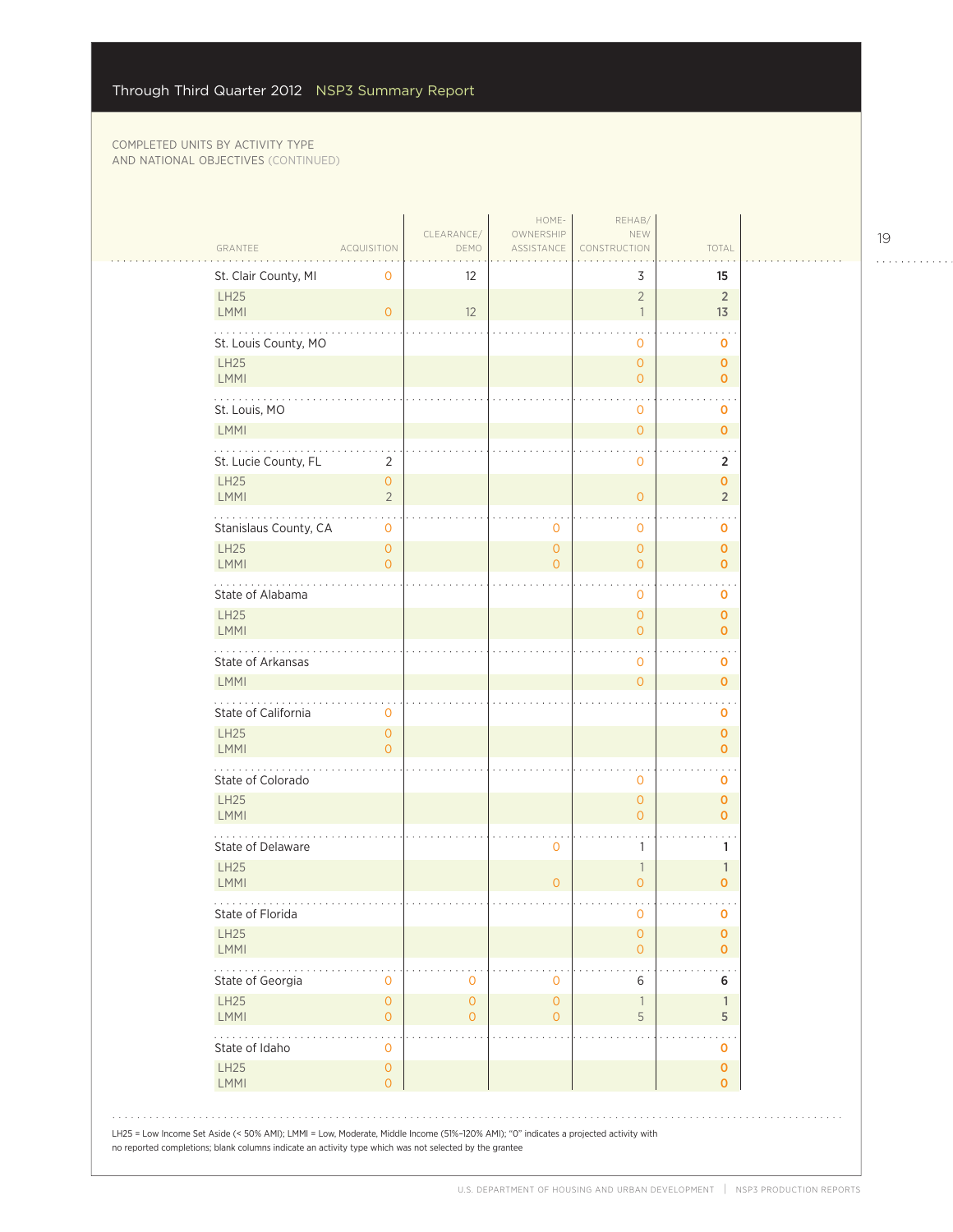| GRANTEE<br>St. Clair County, MI                                                   | <b>ACQUISITION</b><br>0        | DEMO<br>$12 \overline{ }$ |                            | 3                                          | 15                            |
|-----------------------------------------------------------------------------------|--------------------------------|---------------------------|----------------------------|--------------------------------------------|-------------------------------|
| <b>LH25</b><br>LMMI                                                               | $\mathbf{O}$                   | 12                        |                            | $\overline{2}$<br>$\overline{\phantom{a}}$ | $\overline{2}$<br>13          |
| St. Louis County, MO                                                              |                                |                           |                            | 0                                          | o                             |
| <b>LH25</b><br>LMMI                                                               |                                |                           |                            | $\overline{0}$<br>$\overline{0}$           | $\mathbf 0$<br>$\mathbf 0$    |
| .<br>St. Louis, MO                                                                |                                |                           |                            | 0                                          | O                             |
| LMMI                                                                              |                                |                           |                            | $\overline{0}$                             | $\mathbf 0$                   |
| $\mathbf{1}$ , $\mathbf{1}$ , $\mathbf{1}$ , $\mathbf{1}$<br>St. Lucie County, FL | 2                              |                           |                            | $\cdot$<br>0                               | 2                             |
| <b>LH25</b><br>LMMI                                                               | $\mathbf 0$<br>$\overline{2}$  |                           |                            | $\overline{O}$                             | $\mathbf 0$<br>$\overline{2}$ |
| Stanislaus County, CA                                                             | $\overline{0}$                 |                           | 0                          | $\sim$<br>0                                | o                             |
| <b>LH25</b><br>LMMI                                                               | $\mathbf{O}$<br>$\overline{0}$ |                           | $\overline{0}$<br>$\Omega$ | 0<br>$\overline{0}$                        | $\mathbf 0$<br>$\mathbf 0$    |
| .<br>State of Alabama                                                             |                                |                           |                            | 0                                          | O                             |
| <b>LH25</b><br><b>LMMI</b>                                                        |                                |                           |                            | $\overline{O}$<br>$\overline{0}$           | $\mathbf{O}$<br>$\mathbf 0$   |
| State of Arkansas                                                                 |                                |                           |                            | 0                                          | o                             |
| <b>LMMI</b>                                                                       |                                |                           |                            | $\overline{0}$                             | $\mathbf 0$                   |
| State of California                                                               | 0                              |                           |                            |                                            | o                             |
| <b>LH25</b><br>LMMI                                                               | $\mathbf 0$<br>$\overline{O}$  |                           |                            |                                            | $\pmb{0}$<br>$\mathbf 0$      |
| State of Colorado                                                                 |                                |                           |                            | 0                                          | 0                             |
| LH25<br>LMMI                                                                      |                                |                           |                            | $\overline{0}$<br>$\mathbf{0}$             | $\mathbf 0$<br>$\mathbf{O}$   |
| State of Delaware                                                                 |                                |                           | 0                          | 1                                          | 1                             |
| <b>LH25</b><br>LMMI                                                               |                                |                           | $\overline{0}$             | $\mathbb{1}$<br>$\overline{0}$             | 1<br>$\mathbf 0$              |
| .<br>State of Florida                                                             |                                |                           |                            | 0                                          | O                             |
| <b>LH25</b><br><b>LMMI</b>                                                        |                                |                           |                            | $\mathsf{O}\xspace$<br>$\overline{O}$      | $\mathbf 0$<br>$\mathbf{O}$   |
| State of Georgia                                                                  | $\mathbf 0$                    | 0                         | 0                          | 6                                          | 6                             |
| <b>LH25</b><br><b>LMMI</b>                                                        | $\mathbf 0$<br>$\overline{0}$  | $\overline{0}$<br>0       | $\overline{0}$<br>0        | $\mathbb{1}$<br>5                          | $\mathbf{1}$<br>5             |
| State of Idaho                                                                    | $\mathbf 0$                    |                           |                            |                                            | 0                             |
| LH25<br><b>LMMI</b>                                                               | $\mathbf{O}$<br>$\overline{O}$ |                           |                            |                                            | $\mathbf 0$<br>$\mathbf 0$    |

19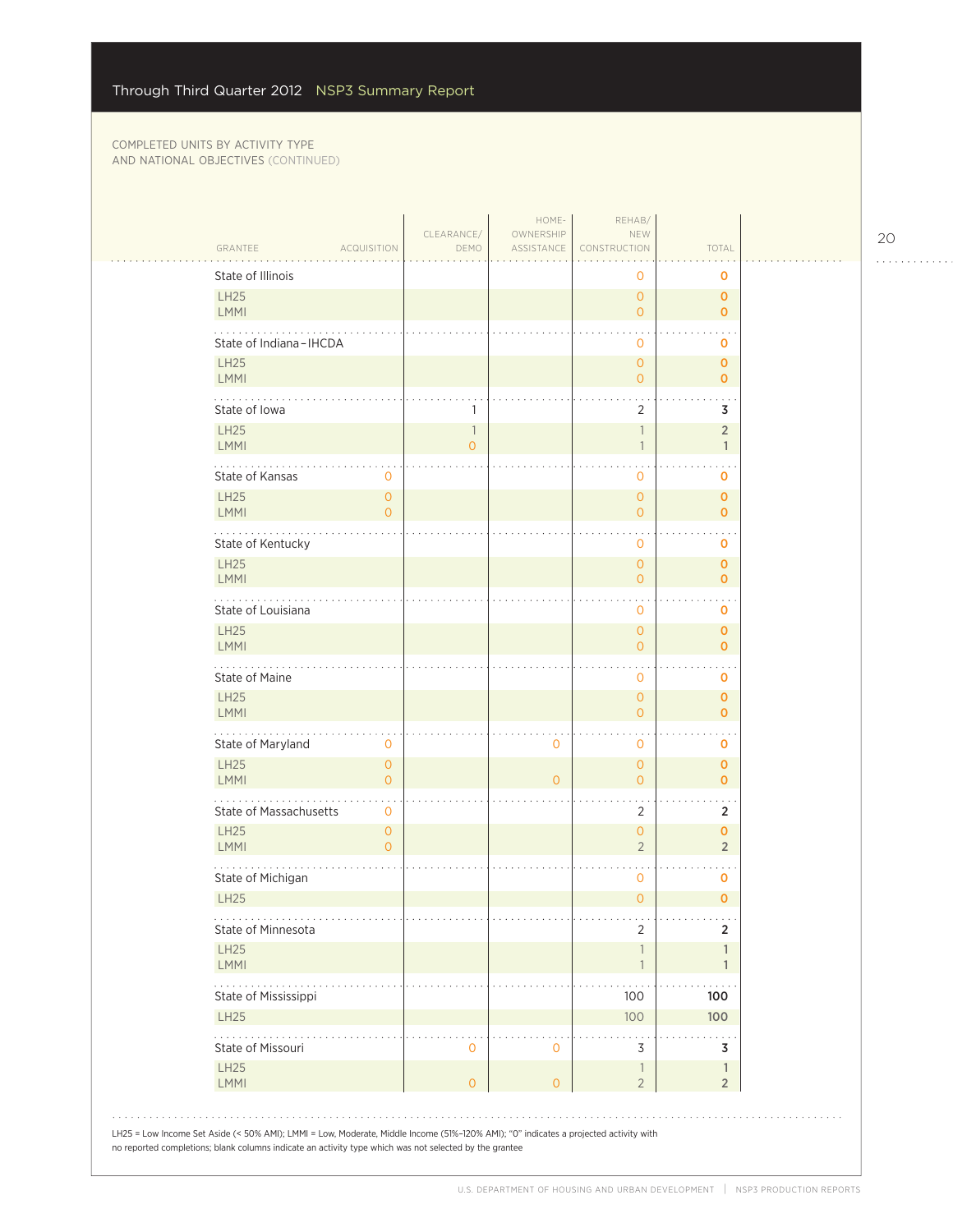|                                                                                                                                                                                                                                                | CLEARANCE/                                 | HOME-<br>OWNERSHIP  | REHAB/<br>NEW                              |                                |  |
|------------------------------------------------------------------------------------------------------------------------------------------------------------------------------------------------------------------------------------------------|--------------------------------------------|---------------------|--------------------------------------------|--------------------------------|--|
| GRANTEE<br><b>ACQUISITION</b>                                                                                                                                                                                                                  | DEMO                                       | ASSISTANCE          | CONSTRUCTION                               | <b>TOTAL</b>                   |  |
| State of Illinois                                                                                                                                                                                                                              |                                            |                     | 0                                          | O                              |  |
| <b>LH25</b><br>LMMI                                                                                                                                                                                                                            |                                            |                     | $\overline{O}$<br>$\overline{O}$           | $\mathbf{O}$<br>$\mathbf 0$    |  |
| State of Indiana-IHCDA                                                                                                                                                                                                                         |                                            |                     | $\circ$                                    | O                              |  |
| <b>LH25</b><br>LMMI                                                                                                                                                                                                                            |                                            |                     | $\overline{O}$<br>$\overline{0}$           | $\mathbf 0$<br>$\mathbf 0$     |  |
| State of Iowa                                                                                                                                                                                                                                  | 1                                          |                     | $\overline{2}$                             | 3                              |  |
| <b>LH25</b><br>LMMI                                                                                                                                                                                                                            | $\overline{\phantom{a}}$<br>$\overline{O}$ |                     | $\mathbb{1}$<br>$\overline{\phantom{a}}$   | $\overline{2}$<br>$\mathbf{1}$ |  |
| State of Kansas<br>0                                                                                                                                                                                                                           |                                            |                     | 0                                          | $\sim$<br>0                    |  |
| <b>LH25</b><br>$\overline{0}$<br>LMMI<br>$\overline{0}$                                                                                                                                                                                        |                                            |                     | $\overline{O}$<br>$\overline{O}$           | $\mathbf 0$<br>$\mathbf 0$     |  |
| State of Kentucky                                                                                                                                                                                                                              |                                            |                     | $\mathbf 0$                                | $\sim$<br>0                    |  |
| <b>LH25</b><br>LMMI                                                                                                                                                                                                                            |                                            |                     | $\overline{O}$<br>$\overline{0}$           | $\mathbf 0$<br>$\mathbf{O}$    |  |
| .<br>State of Louisiana                                                                                                                                                                                                                        |                                            |                     | $\mathbf 0$                                | $\sim$<br>o                    |  |
| <b>LH25</b><br>LMMI                                                                                                                                                                                                                            |                                            |                     | $\circ$<br>$\overline{O}$                  | $\mathbf 0$<br>$\mathbf 0$     |  |
| State of Maine                                                                                                                                                                                                                                 |                                            |                     | $\mathbf{0}$                               | 0                              |  |
| <b>LH25</b><br><b>LMMI</b>                                                                                                                                                                                                                     |                                            |                     | $\overline{O}$<br>$\circ$                  | $\mathbf 0$<br>$\mathbf 0$     |  |
| .<br>State of Maryland<br>0                                                                                                                                                                                                                    |                                            | $\circ$             | $\mathbf 0$                                | 0                              |  |
| <b>LH25</b><br>$\overline{0}$<br>LMMI<br>$\mathbf{O}$                                                                                                                                                                                          |                                            | $\overline{0}$      | $\overline{O}$<br>$\overline{0}$           | $\mathbf 0$<br>$\mathbf 0$     |  |
| State of Massachusetts<br>0                                                                                                                                                                                                                    |                                            |                     | 2                                          | $\overline{2}$                 |  |
| <b>LH25</b><br>$\overline{0}$<br>LMMI<br>$\overline{0}$                                                                                                                                                                                        |                                            |                     | $\overline{O}$<br>$\overline{2}$           | $\mathbf{O}$<br>$\overline{2}$ |  |
| State of Michigan                                                                                                                                                                                                                              |                                            |                     | $\mathbf{0}$                               | $\sim$<br>0                    |  |
| <b>LH25</b>                                                                                                                                                                                                                                    |                                            |                     | $\overline{O}$                             | $\mathbf 0$                    |  |
| .<br>State of Minnesota                                                                                                                                                                                                                        |                                            |                     | $\mathbf{r}$<br>2                          | $\sim 10$<br>$\overline{2}$    |  |
| <b>LH25</b><br>LMMI                                                                                                                                                                                                                            |                                            |                     | $\overline{\phantom{a}}$<br>$\overline{1}$ | 1<br>$\mathbf{1}$              |  |
| .<br>State of Mississippi                                                                                                                                                                                                                      |                                            |                     | 100                                        | 100                            |  |
| LH25                                                                                                                                                                                                                                           |                                            |                     | 100                                        | 100                            |  |
| .<br>State of Missouri                                                                                                                                                                                                                         | $\mathbf 0$                                | $\mathbf 0$         | 3                                          | 3                              |  |
| <b>LH25</b><br>LMMI                                                                                                                                                                                                                            | $\overline{O}$                             | $\mathsf{O}\xspace$ | $\mathbb{1}$<br>$\overline{c}$             | $\mathbf{1}$<br>$\overline{2}$ |  |
|                                                                                                                                                                                                                                                |                                            |                     |                                            |                                |  |
| LH25 = Low Income Set Aside (< 50% AMI); LMMI = Low, Moderate, Middle Income (51%-120% AMI); "0" indicates a projected activity with<br>no reported completions; blank columns indicate an activity type which was not selected by the grantee |                                            |                     |                                            |                                |  |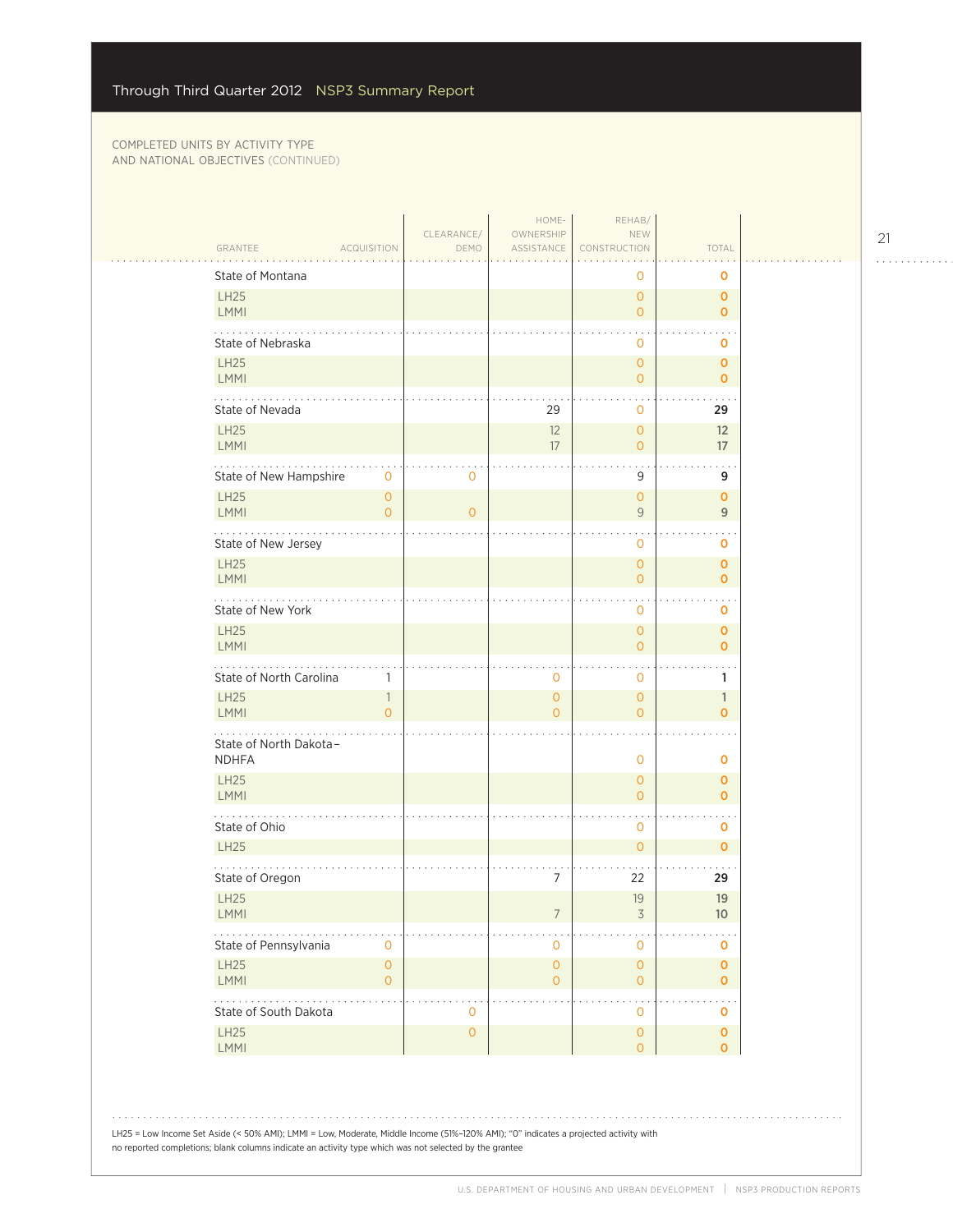$\mathcal{L}_{\mathcal{A}}$ 

| <b>LH25</b><br>LMMI                                                                           | GRANTEE<br><b>ACQUISITION</b><br>State of Montana | CLEARANCE/<br>DEMO  | OWNERSHIP<br>ASSISTANCE               | NEW<br>CONSTRUCTION                   | TOTAL                                     |
|-----------------------------------------------------------------------------------------------|---------------------------------------------------|---------------------|---------------------------------------|---------------------------------------|-------------------------------------------|
|                                                                                               |                                                   |                     |                                       |                                       |                                           |
|                                                                                               |                                                   |                     |                                       | 0                                     | 0                                         |
|                                                                                               |                                                   |                     |                                       | $\overline{0}$<br>$\overline{O}$      | 0<br>0                                    |
|                                                                                               | State of Nebraska                                 |                     |                                       | $\mathbf{O}$                          | 0                                         |
| <b>LH25</b><br>LMMI                                                                           |                                                   |                     |                                       | $\circ$<br>$\overline{O}$             | 0<br>0                                    |
|                                                                                               | .<br>State of Nevada                              |                     | 29                                    | $\mathbf{0}$                          | 29                                        |
| <b>LH25</b><br>LMMI                                                                           |                                                   |                     | 12<br>17                              | $\overline{O}$<br>$\overline{O}$      | 12<br>17                                  |
|                                                                                               | State of New Hampshire<br>$\mathbf{O}$            | $\overline{0}$      |                                       | 9                                     | 9                                         |
| <b>LH25</b><br>LMMI                                                                           | $\overline{O}$                                    | $\circ$             |                                       | $\overline{0}$<br>9                   | 0                                         |
|                                                                                               | $\overline{O}$<br>State of New Jersey             |                     |                                       |                                       | $\overline{9}$                            |
| <b>LH25</b>                                                                                   |                                                   |                     |                                       | $\mathbf 0$<br>$\overline{O}$         | 0<br>0                                    |
| LMMI<br>$\mathcal{L} \left( \mathcal{L} \right)$ , $\mathcal{L} \left( \mathcal{L} \right)$ , |                                                   |                     |                                       | $\overline{O}$                        | 0<br>$\ddot{\phantom{0}}$                 |
| <b>LH25</b>                                                                                   | State of New York                                 |                     |                                       | 0<br>$\mathbf{O}$                     | 0<br>0                                    |
| LMMI                                                                                          |                                                   |                     |                                       | $\overline{O}$                        | $\mathbf 0$<br>$\ddot{\phantom{0}}$       |
| <b>LH25</b>                                                                                   | State of North Carolina<br>1<br>1                 |                     | 0<br>0                                | $\mathbf 0$<br>$\overline{0}$         | 1<br>$\mathbf{1}$                         |
| LMMI                                                                                          | $\Omega$                                          |                     | $\Omega$                              | $\overline{O}$                        | $\overline{0}$                            |
|                                                                                               | .<br>State of North Dakota-<br><b>NDHFA</b>       |                     |                                       | $\mathbf 0$                           | 0                                         |
| <b>LH25</b><br>LMMI                                                                           |                                                   |                     |                                       | $\mathbf{O}$<br>$\Omega$              | 0<br>$\mathbf 0$                          |
|                                                                                               | State of Ohio                                     |                     |                                       | $\mathbf 0$                           | $\sim$ $\sim$<br>0                        |
| <b>LH25</b>                                                                                   |                                                   |                     |                                       | $\overline{O}$                        | $\mathbf 0$                               |
|                                                                                               | State of Oregon                                   |                     | $\overline{7}$                        | 22                                    | 29                                        |
| <b>LH25</b><br><b>LMMI</b>                                                                    |                                                   |                     |                                       | 19<br>3                               | 19<br>10                                  |
|                                                                                               | State of Pennsylvania<br>0                        |                     | 0                                     | $\mathbf 0$                           | 0                                         |
| LH25<br><b>LMMI</b>                                                                           | $\mathsf O$<br>$\overline{0}$                     |                     | $\mathsf{O}\xspace$<br>$\overline{O}$ | $\mathsf{O}\xspace$<br>$\overline{O}$ | $\overline{\mathbf{0}}$<br>$\mathbf 0$    |
| .                                                                                             | State of South Dakota                             | $\mathbf 0$         |                                       | $\mathbf 0$                           | $\ddotsc$<br>$\mathbf 0$                  |
| <b>LH25</b><br>LMMI                                                                           |                                                   | $\mathsf{O}\xspace$ |                                       | $\mathsf{O}\xspace$<br>$\overline{O}$ | $\overline{\mathbf{0}}$<br>$\overline{O}$ |

LH25 = Low Income Set Aside (< 50% AMI); LMMI = Low, Moderate, Middle Income (51%–120% AMI); "0" indicates a projected activity with no reported completions; blank columns indicate an activity type which was not selected by the grantee

21

. . . . . . . . . . . .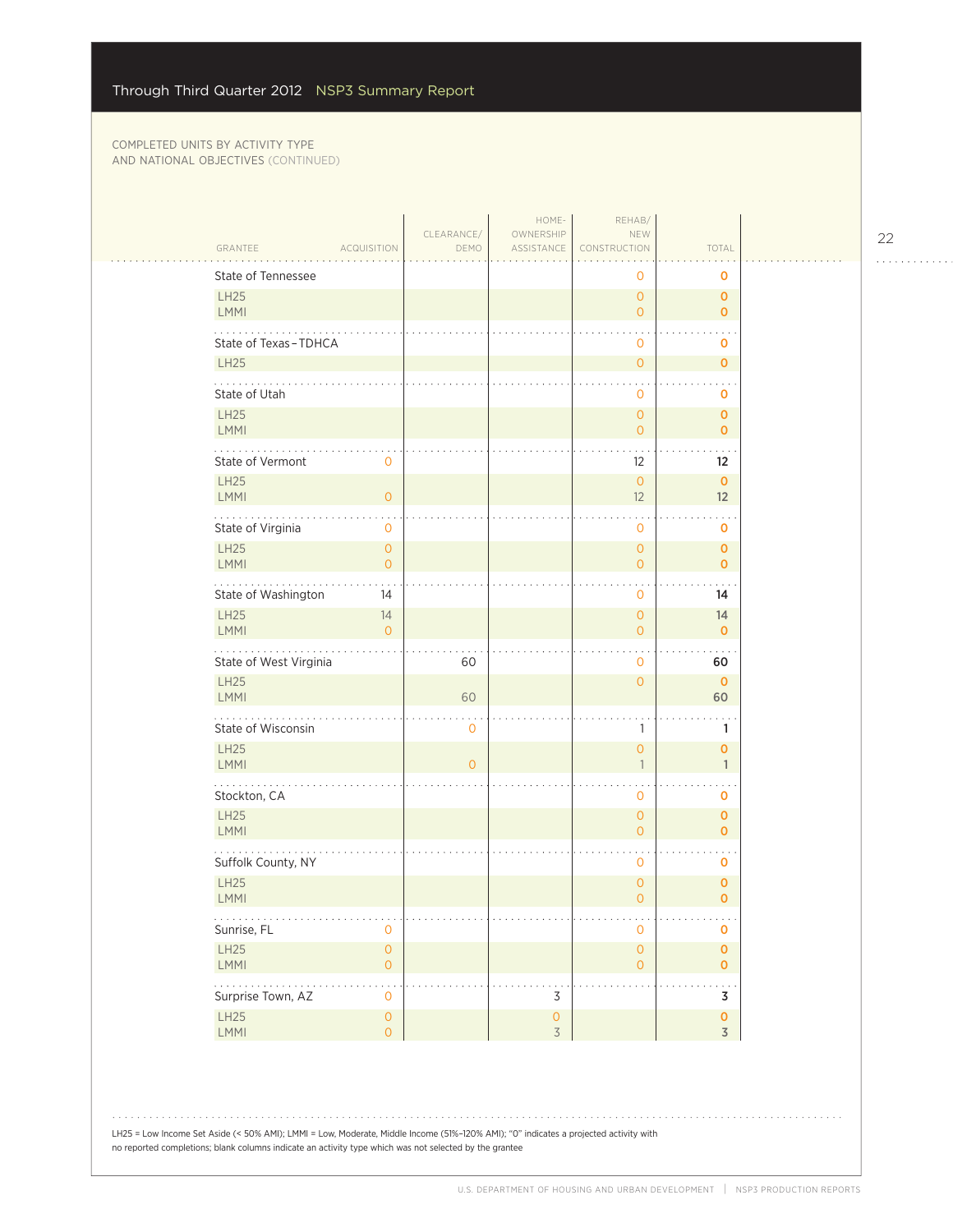| TOTAL<br>GRANTEE<br><b>ACQUISITION</b><br>ASSISTANCE<br>CONSTRUCTION<br>DEMO<br>State of Tennessee<br>0<br>0<br>LH25<br>$\overline{0}$<br>$\mathbf 0$<br>LMMI<br>$\overline{O}$<br>$\mathbf 0$<br>State of Texas-TDHCA<br>$\mathbf{O}$<br>o<br><b>LH25</b><br>$\overline{0}$<br>$\mathbf 0$<br>State of Utah<br>$\mathbf 0$<br>o<br>LH25<br>$\circ$<br>$\mathbf 0$<br><b>LMMI</b><br>$\overline{O}$<br>$\mathbf 0$<br>$\cdots$<br>$\ddot{\phantom{0}}$<br>State of Vermont<br>0<br>$12 \,$<br>$12 \overline{ }$<br>LH25<br>$\mathsf O$<br>$\mathbf 0$<br>LMMI<br>$\overline{O}$<br>12<br>12<br>$\sim$ $\sim$<br>$\mathbf{r}$<br>State of Virginia<br>0<br>$\mathbf{O}$<br>0<br>LH25<br>$\mathsf{O}\xspace$<br>$\mathsf O$<br>$\mathbf 0$<br>LMMI<br>$\overline{0}$<br>$\mathsf O$<br>$\mathbf 0$<br>.<br>State of Washington<br>14<br>14<br>$\mathbf{0}$<br>LH25<br>14<br>$\overline{0}$<br>14<br>LMMI<br>$\overline{O}$<br>$\overline{0}$<br>$\mathbf 0$<br>State of West Virginia<br>60<br>$\mathbf{0}$<br>60<br><b>LH25</b><br>$\circ$<br>$\mathbf 0$<br>LMMI<br>60<br>60<br>State of Wisconsin<br>$\mathbf 0$<br>$\mathbb{1}$<br>1<br>LH25<br>$\circ$<br>$\mathbf{O}$<br>LMMI<br>$\overline{O}$<br>$\overline{\phantom{a}}$<br>1<br>$\sim$ $\sim$<br>Stockton, CA<br>0<br>0<br>LH25<br>$\circ$<br>$\mathbf 0$<br>LMMI<br>$\circ$<br>$\mathbf 0$<br>$\sim$ $\sim$<br>Suffolk County, NY<br>$\mathbf{0}$<br>o<br>LH25<br>$\mathsf{O}\xspace$<br>$\pmb{0}$<br>LMMI<br>$\overline{O}$<br>$\overline{0}$<br>.<br>.<br>$\sim$ $\sim$<br>Sunrise, FL<br>0<br>$\mathsf{O}\xspace$<br>0<br>LH25<br>$\mathsf{O}\xspace$<br>$\mathsf{O}\xspace$<br>$\pmb{\mathsf{O}}$<br>$\overline{0}$<br><b>LMMI</b><br>$\mathsf{O}\xspace$<br>$\overline{\mathbf{0}}$<br>.<br>$\ddot{\phantom{a}}$<br>Surprise Town, AZ<br>$\mathsf 3$<br>$\mathsf{O}\xspace$<br>3<br>$\mathsf{O}\xspace$<br>LH25<br>$\bullet$<br>$\overline{0}$<br>LMMI<br>$\overline{3}$<br>$\overline{3}$<br>$\overline{O}$ |  | CLEARANCE/ | HOME-<br>OWNERSHIP | REHAB/<br>NEW |  |
|----------------------------------------------------------------------------------------------------------------------------------------------------------------------------------------------------------------------------------------------------------------------------------------------------------------------------------------------------------------------------------------------------------------------------------------------------------------------------------------------------------------------------------------------------------------------------------------------------------------------------------------------------------------------------------------------------------------------------------------------------------------------------------------------------------------------------------------------------------------------------------------------------------------------------------------------------------------------------------------------------------------------------------------------------------------------------------------------------------------------------------------------------------------------------------------------------------------------------------------------------------------------------------------------------------------------------------------------------------------------------------------------------------------------------------------------------------------------------------------------------------------------------------------------------------------------------------------------------------------------------------------------------------------------------------------------------------------------------------------------------------------------------------------------------------------------------------------------------------------------------------------------------------------------------------------------------------------------------|--|------------|--------------------|---------------|--|
|                                                                                                                                                                                                                                                                                                                                                                                                                                                                                                                                                                                                                                                                                                                                                                                                                                                                                                                                                                                                                                                                                                                                                                                                                                                                                                                                                                                                                                                                                                                                                                                                                                                                                                                                                                                                                                                                                                                                                                            |  |            |                    |               |  |
|                                                                                                                                                                                                                                                                                                                                                                                                                                                                                                                                                                                                                                                                                                                                                                                                                                                                                                                                                                                                                                                                                                                                                                                                                                                                                                                                                                                                                                                                                                                                                                                                                                                                                                                                                                                                                                                                                                                                                                            |  |            |                    |               |  |
|                                                                                                                                                                                                                                                                                                                                                                                                                                                                                                                                                                                                                                                                                                                                                                                                                                                                                                                                                                                                                                                                                                                                                                                                                                                                                                                                                                                                                                                                                                                                                                                                                                                                                                                                                                                                                                                                                                                                                                            |  |            |                    |               |  |
|                                                                                                                                                                                                                                                                                                                                                                                                                                                                                                                                                                                                                                                                                                                                                                                                                                                                                                                                                                                                                                                                                                                                                                                                                                                                                                                                                                                                                                                                                                                                                                                                                                                                                                                                                                                                                                                                                                                                                                            |  |            |                    |               |  |
|                                                                                                                                                                                                                                                                                                                                                                                                                                                                                                                                                                                                                                                                                                                                                                                                                                                                                                                                                                                                                                                                                                                                                                                                                                                                                                                                                                                                                                                                                                                                                                                                                                                                                                                                                                                                                                                                                                                                                                            |  |            |                    |               |  |
|                                                                                                                                                                                                                                                                                                                                                                                                                                                                                                                                                                                                                                                                                                                                                                                                                                                                                                                                                                                                                                                                                                                                                                                                                                                                                                                                                                                                                                                                                                                                                                                                                                                                                                                                                                                                                                                                                                                                                                            |  |            |                    |               |  |
|                                                                                                                                                                                                                                                                                                                                                                                                                                                                                                                                                                                                                                                                                                                                                                                                                                                                                                                                                                                                                                                                                                                                                                                                                                                                                                                                                                                                                                                                                                                                                                                                                                                                                                                                                                                                                                                                                                                                                                            |  |            |                    |               |  |
|                                                                                                                                                                                                                                                                                                                                                                                                                                                                                                                                                                                                                                                                                                                                                                                                                                                                                                                                                                                                                                                                                                                                                                                                                                                                                                                                                                                                                                                                                                                                                                                                                                                                                                                                                                                                                                                                                                                                                                            |  |            |                    |               |  |
|                                                                                                                                                                                                                                                                                                                                                                                                                                                                                                                                                                                                                                                                                                                                                                                                                                                                                                                                                                                                                                                                                                                                                                                                                                                                                                                                                                                                                                                                                                                                                                                                                                                                                                                                                                                                                                                                                                                                                                            |  |            |                    |               |  |
|                                                                                                                                                                                                                                                                                                                                                                                                                                                                                                                                                                                                                                                                                                                                                                                                                                                                                                                                                                                                                                                                                                                                                                                                                                                                                                                                                                                                                                                                                                                                                                                                                                                                                                                                                                                                                                                                                                                                                                            |  |            |                    |               |  |
|                                                                                                                                                                                                                                                                                                                                                                                                                                                                                                                                                                                                                                                                                                                                                                                                                                                                                                                                                                                                                                                                                                                                                                                                                                                                                                                                                                                                                                                                                                                                                                                                                                                                                                                                                                                                                                                                                                                                                                            |  |            |                    |               |  |
|                                                                                                                                                                                                                                                                                                                                                                                                                                                                                                                                                                                                                                                                                                                                                                                                                                                                                                                                                                                                                                                                                                                                                                                                                                                                                                                                                                                                                                                                                                                                                                                                                                                                                                                                                                                                                                                                                                                                                                            |  |            |                    |               |  |
|                                                                                                                                                                                                                                                                                                                                                                                                                                                                                                                                                                                                                                                                                                                                                                                                                                                                                                                                                                                                                                                                                                                                                                                                                                                                                                                                                                                                                                                                                                                                                                                                                                                                                                                                                                                                                                                                                                                                                                            |  |            |                    |               |  |
|                                                                                                                                                                                                                                                                                                                                                                                                                                                                                                                                                                                                                                                                                                                                                                                                                                                                                                                                                                                                                                                                                                                                                                                                                                                                                                                                                                                                                                                                                                                                                                                                                                                                                                                                                                                                                                                                                                                                                                            |  |            |                    |               |  |
|                                                                                                                                                                                                                                                                                                                                                                                                                                                                                                                                                                                                                                                                                                                                                                                                                                                                                                                                                                                                                                                                                                                                                                                                                                                                                                                                                                                                                                                                                                                                                                                                                                                                                                                                                                                                                                                                                                                                                                            |  |            |                    |               |  |
|                                                                                                                                                                                                                                                                                                                                                                                                                                                                                                                                                                                                                                                                                                                                                                                                                                                                                                                                                                                                                                                                                                                                                                                                                                                                                                                                                                                                                                                                                                                                                                                                                                                                                                                                                                                                                                                                                                                                                                            |  |            |                    |               |  |
|                                                                                                                                                                                                                                                                                                                                                                                                                                                                                                                                                                                                                                                                                                                                                                                                                                                                                                                                                                                                                                                                                                                                                                                                                                                                                                                                                                                                                                                                                                                                                                                                                                                                                                                                                                                                                                                                                                                                                                            |  |            |                    |               |  |
|                                                                                                                                                                                                                                                                                                                                                                                                                                                                                                                                                                                                                                                                                                                                                                                                                                                                                                                                                                                                                                                                                                                                                                                                                                                                                                                                                                                                                                                                                                                                                                                                                                                                                                                                                                                                                                                                                                                                                                            |  |            |                    |               |  |
|                                                                                                                                                                                                                                                                                                                                                                                                                                                                                                                                                                                                                                                                                                                                                                                                                                                                                                                                                                                                                                                                                                                                                                                                                                                                                                                                                                                                                                                                                                                                                                                                                                                                                                                                                                                                                                                                                                                                                                            |  |            |                    |               |  |
|                                                                                                                                                                                                                                                                                                                                                                                                                                                                                                                                                                                                                                                                                                                                                                                                                                                                                                                                                                                                                                                                                                                                                                                                                                                                                                                                                                                                                                                                                                                                                                                                                                                                                                                                                                                                                                                                                                                                                                            |  |            |                    |               |  |
|                                                                                                                                                                                                                                                                                                                                                                                                                                                                                                                                                                                                                                                                                                                                                                                                                                                                                                                                                                                                                                                                                                                                                                                                                                                                                                                                                                                                                                                                                                                                                                                                                                                                                                                                                                                                                                                                                                                                                                            |  |            |                    |               |  |
|                                                                                                                                                                                                                                                                                                                                                                                                                                                                                                                                                                                                                                                                                                                                                                                                                                                                                                                                                                                                                                                                                                                                                                                                                                                                                                                                                                                                                                                                                                                                                                                                                                                                                                                                                                                                                                                                                                                                                                            |  |            |                    |               |  |
|                                                                                                                                                                                                                                                                                                                                                                                                                                                                                                                                                                                                                                                                                                                                                                                                                                                                                                                                                                                                                                                                                                                                                                                                                                                                                                                                                                                                                                                                                                                                                                                                                                                                                                                                                                                                                                                                                                                                                                            |  |            |                    |               |  |
|                                                                                                                                                                                                                                                                                                                                                                                                                                                                                                                                                                                                                                                                                                                                                                                                                                                                                                                                                                                                                                                                                                                                                                                                                                                                                                                                                                                                                                                                                                                                                                                                                                                                                                                                                                                                                                                                                                                                                                            |  |            |                    |               |  |
|                                                                                                                                                                                                                                                                                                                                                                                                                                                                                                                                                                                                                                                                                                                                                                                                                                                                                                                                                                                                                                                                                                                                                                                                                                                                                                                                                                                                                                                                                                                                                                                                                                                                                                                                                                                                                                                                                                                                                                            |  |            |                    |               |  |
|                                                                                                                                                                                                                                                                                                                                                                                                                                                                                                                                                                                                                                                                                                                                                                                                                                                                                                                                                                                                                                                                                                                                                                                                                                                                                                                                                                                                                                                                                                                                                                                                                                                                                                                                                                                                                                                                                                                                                                            |  |            |                    |               |  |
|                                                                                                                                                                                                                                                                                                                                                                                                                                                                                                                                                                                                                                                                                                                                                                                                                                                                                                                                                                                                                                                                                                                                                                                                                                                                                                                                                                                                                                                                                                                                                                                                                                                                                                                                                                                                                                                                                                                                                                            |  |            |                    |               |  |
|                                                                                                                                                                                                                                                                                                                                                                                                                                                                                                                                                                                                                                                                                                                                                                                                                                                                                                                                                                                                                                                                                                                                                                                                                                                                                                                                                                                                                                                                                                                                                                                                                                                                                                                                                                                                                                                                                                                                                                            |  |            |                    |               |  |

LH25 = Low Income Set Aside (< 50% AMI); LMMI = Low, Moderate, Middle Income (51%–120% AMI); "0" indicates a projected activity with no reported completions; blank columns indicate an activity type which was not selected by the grantee

22

. . . . . . . . . . . .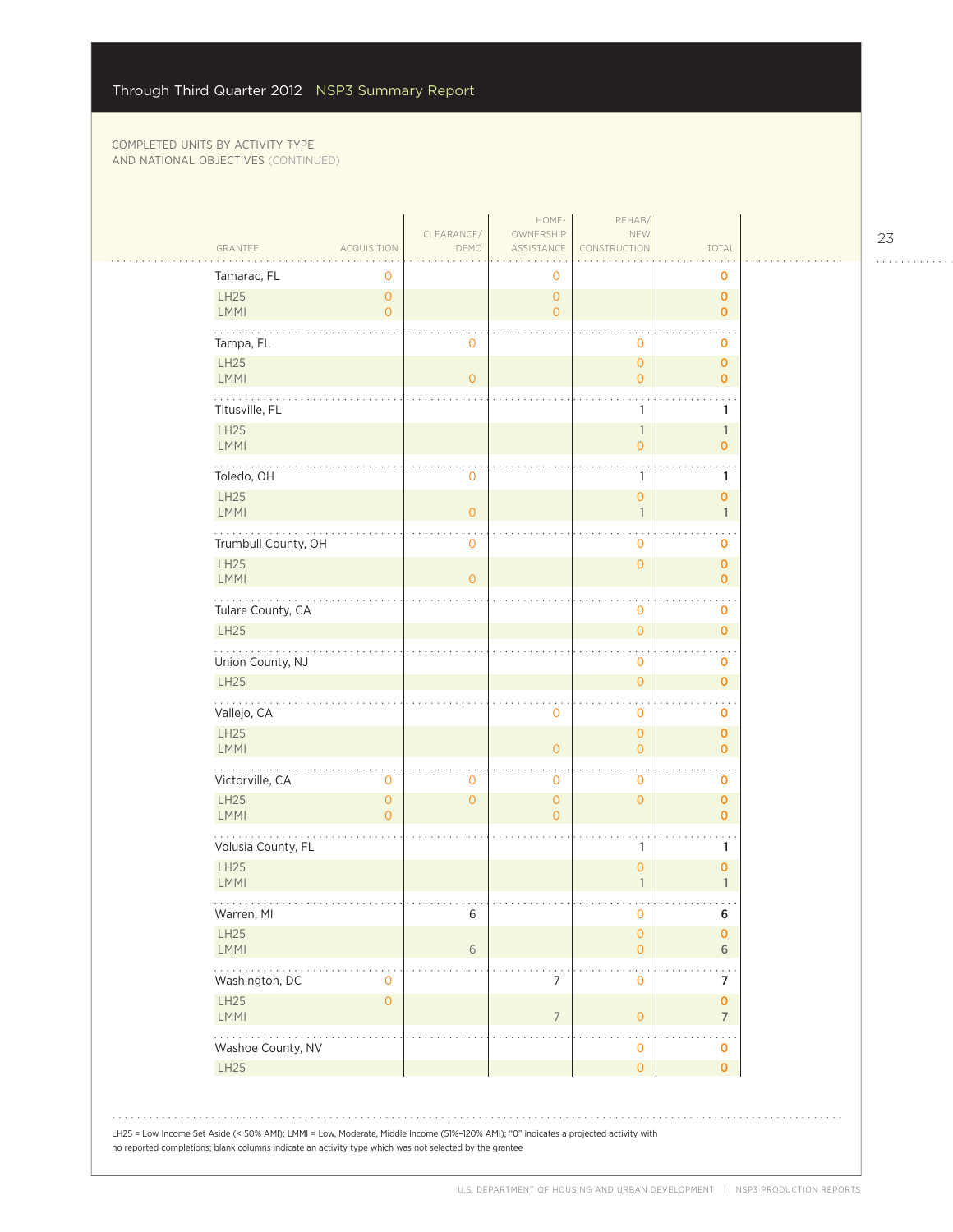| Tamarac, FL<br>0<br>0<br>0<br>LH25<br>$\mathsf{O}\xspace$<br>$\mathbf{O}$<br>$\pmb{\mathsf{O}}$<br><b>LMMI</b><br>$\overline{0}$<br>$\overline{O}$<br>$\overline{0}$<br>Tampa, FL<br>$\mathbf 0$<br>0<br>0<br><b>LH25</b><br>$\mathsf{O}$<br>$\mathbf 0$<br><b>LMMI</b><br>$\overline{O}$<br>$\overline{0}$<br>$\overline{0}$<br>Titusville, FL<br>1<br>1<br>LH25<br>$\mathbb{1}$<br>$\mathbb{1}$<br>LMMI<br>0<br>0<br>Toledo, OH<br>0<br>1<br>1<br>LH25<br>0<br>0<br><b>LMMI</b><br>$\circ$<br>$\overline{\phantom{a}}$<br>$\mathbf{1}$<br>Trumbull County, OH<br>$\mathbf 0$<br>0<br>0<br><b>LH25</b><br>$\mathsf{O}\xspace$<br>$\mathbf 0$<br><b>LMMI</b><br>$\Omega$<br>$\overline{O}$<br>.<br>Tulare County, CA<br>0<br>0<br>LH25<br>$\mathsf{O}\xspace$<br>0<br>Union County, NJ<br>0<br>0<br><b>LH25</b><br>$\overline{O}$<br>$\overline{O}$<br>Vallejo, CA<br>0<br>0<br>0<br>LH25<br>$\overline{O}$<br>$\mathbf 0$<br><b>LMMI</b><br>$\overline{O}$<br>$\overline{O}$<br>$\overline{0}$<br>Victorville, CA<br>$\mathbf 0$<br>$\mathbf 0$<br>$\mathbf 0$<br>0<br>0<br>LH25<br>$\mathsf{O}\xspace$<br>$\mathbf{O}$<br>$\mathbf{O}$<br>$\mathsf{O}\xspace$<br>$\mathbf 0$<br><b>LMMI</b><br>$\overline{0}$<br>$\overline{0}$<br>$\overline{0}$<br>Volusia County, FL<br>1<br>1<br><b>LH25</b><br>$\overline{0}$<br>0<br>LMMI<br>$\mathbf{1}$<br>$\mathbf{1}$<br>Warren, MI<br>6<br>6<br>0<br>LH25<br>0<br>0<br>LMMI<br>6<br>$\mathsf{O}\xspace$<br>6<br>Washington, DC<br>7<br>$\mathbf 0$<br>0<br>7<br>LH25<br>$\mathbf{O}$<br>0<br>LMMI<br>$\overline{O}$<br>7<br>$\overline{7}$<br>$\cdot$ |
|----------------------------------------------------------------------------------------------------------------------------------------------------------------------------------------------------------------------------------------------------------------------------------------------------------------------------------------------------------------------------------------------------------------------------------------------------------------------------------------------------------------------------------------------------------------------------------------------------------------------------------------------------------------------------------------------------------------------------------------------------------------------------------------------------------------------------------------------------------------------------------------------------------------------------------------------------------------------------------------------------------------------------------------------------------------------------------------------------------------------------------------------------------------------------------------------------------------------------------------------------------------------------------------------------------------------------------------------------------------------------------------------------------------------------------------------------------------------------------------------------------------------------------------------------------------------------------------------------|
|                                                                                                                                                                                                                                                                                                                                                                                                                                                                                                                                                                                                                                                                                                                                                                                                                                                                                                                                                                                                                                                                                                                                                                                                                                                                                                                                                                                                                                                                                                                                                                                                    |
|                                                                                                                                                                                                                                                                                                                                                                                                                                                                                                                                                                                                                                                                                                                                                                                                                                                                                                                                                                                                                                                                                                                                                                                                                                                                                                                                                                                                                                                                                                                                                                                                    |
|                                                                                                                                                                                                                                                                                                                                                                                                                                                                                                                                                                                                                                                                                                                                                                                                                                                                                                                                                                                                                                                                                                                                                                                                                                                                                                                                                                                                                                                                                                                                                                                                    |
|                                                                                                                                                                                                                                                                                                                                                                                                                                                                                                                                                                                                                                                                                                                                                                                                                                                                                                                                                                                                                                                                                                                                                                                                                                                                                                                                                                                                                                                                                                                                                                                                    |
|                                                                                                                                                                                                                                                                                                                                                                                                                                                                                                                                                                                                                                                                                                                                                                                                                                                                                                                                                                                                                                                                                                                                                                                                                                                                                                                                                                                                                                                                                                                                                                                                    |
|                                                                                                                                                                                                                                                                                                                                                                                                                                                                                                                                                                                                                                                                                                                                                                                                                                                                                                                                                                                                                                                                                                                                                                                                                                                                                                                                                                                                                                                                                                                                                                                                    |
|                                                                                                                                                                                                                                                                                                                                                                                                                                                                                                                                                                                                                                                                                                                                                                                                                                                                                                                                                                                                                                                                                                                                                                                                                                                                                                                                                                                                                                                                                                                                                                                                    |
|                                                                                                                                                                                                                                                                                                                                                                                                                                                                                                                                                                                                                                                                                                                                                                                                                                                                                                                                                                                                                                                                                                                                                                                                                                                                                                                                                                                                                                                                                                                                                                                                    |
|                                                                                                                                                                                                                                                                                                                                                                                                                                                                                                                                                                                                                                                                                                                                                                                                                                                                                                                                                                                                                                                                                                                                                                                                                                                                                                                                                                                                                                                                                                                                                                                                    |
|                                                                                                                                                                                                                                                                                                                                                                                                                                                                                                                                                                                                                                                                                                                                                                                                                                                                                                                                                                                                                                                                                                                                                                                                                                                                                                                                                                                                                                                                                                                                                                                                    |
|                                                                                                                                                                                                                                                                                                                                                                                                                                                                                                                                                                                                                                                                                                                                                                                                                                                                                                                                                                                                                                                                                                                                                                                                                                                                                                                                                                                                                                                                                                                                                                                                    |
|                                                                                                                                                                                                                                                                                                                                                                                                                                                                                                                                                                                                                                                                                                                                                                                                                                                                                                                                                                                                                                                                                                                                                                                                                                                                                                                                                                                                                                                                                                                                                                                                    |
|                                                                                                                                                                                                                                                                                                                                                                                                                                                                                                                                                                                                                                                                                                                                                                                                                                                                                                                                                                                                                                                                                                                                                                                                                                                                                                                                                                                                                                                                                                                                                                                                    |
|                                                                                                                                                                                                                                                                                                                                                                                                                                                                                                                                                                                                                                                                                                                                                                                                                                                                                                                                                                                                                                                                                                                                                                                                                                                                                                                                                                                                                                                                                                                                                                                                    |
|                                                                                                                                                                                                                                                                                                                                                                                                                                                                                                                                                                                                                                                                                                                                                                                                                                                                                                                                                                                                                                                                                                                                                                                                                                                                                                                                                                                                                                                                                                                                                                                                    |
|                                                                                                                                                                                                                                                                                                                                                                                                                                                                                                                                                                                                                                                                                                                                                                                                                                                                                                                                                                                                                                                                                                                                                                                                                                                                                                                                                                                                                                                                                                                                                                                                    |
|                                                                                                                                                                                                                                                                                                                                                                                                                                                                                                                                                                                                                                                                                                                                                                                                                                                                                                                                                                                                                                                                                                                                                                                                                                                                                                                                                                                                                                                                                                                                                                                                    |
|                                                                                                                                                                                                                                                                                                                                                                                                                                                                                                                                                                                                                                                                                                                                                                                                                                                                                                                                                                                                                                                                                                                                                                                                                                                                                                                                                                                                                                                                                                                                                                                                    |
|                                                                                                                                                                                                                                                                                                                                                                                                                                                                                                                                                                                                                                                                                                                                                                                                                                                                                                                                                                                                                                                                                                                                                                                                                                                                                                                                                                                                                                                                                                                                                                                                    |
|                                                                                                                                                                                                                                                                                                                                                                                                                                                                                                                                                                                                                                                                                                                                                                                                                                                                                                                                                                                                                                                                                                                                                                                                                                                                                                                                                                                                                                                                                                                                                                                                    |
|                                                                                                                                                                                                                                                                                                                                                                                                                                                                                                                                                                                                                                                                                                                                                                                                                                                                                                                                                                                                                                                                                                                                                                                                                                                                                                                                                                                                                                                                                                                                                                                                    |
|                                                                                                                                                                                                                                                                                                                                                                                                                                                                                                                                                                                                                                                                                                                                                                                                                                                                                                                                                                                                                                                                                                                                                                                                                                                                                                                                                                                                                                                                                                                                                                                                    |
|                                                                                                                                                                                                                                                                                                                                                                                                                                                                                                                                                                                                                                                                                                                                                                                                                                                                                                                                                                                                                                                                                                                                                                                                                                                                                                                                                                                                                                                                                                                                                                                                    |
| Washoe County, NV<br>0<br>0                                                                                                                                                                                                                                                                                                                                                                                                                                                                                                                                                                                                                                                                                                                                                                                                                                                                                                                                                                                                                                                                                                                                                                                                                                                                                                                                                                                                                                                                                                                                                                        |
| LH25<br>$\mathsf{O}\xspace$<br>0                                                                                                                                                                                                                                                                                                                                                                                                                                                                                                                                                                                                                                                                                                                                                                                                                                                                                                                                                                                                                                                                                                                                                                                                                                                                                                                                                                                                                                                                                                                                                                   |